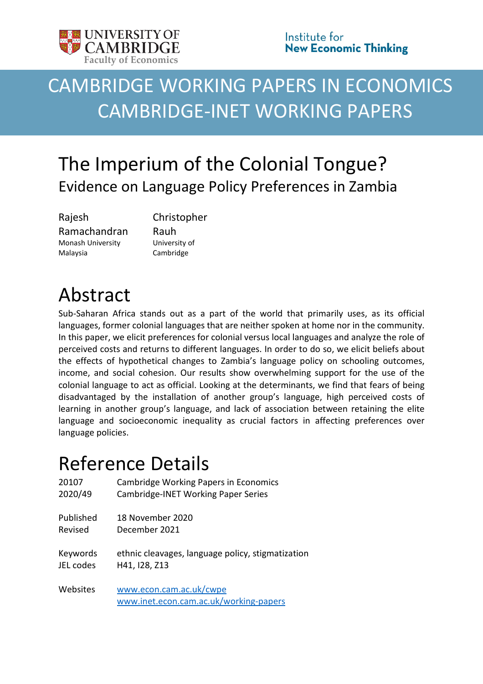

# CAMBRIDGE WORKING PAPERS IN ECONOMICS CAMBRIDGE-INET WORKING PAPERS

## The Imperium of the Colonial Tongue? Evidence on Language Policy Preferences in Zambia

Rajesh Ramachandran Monash University Malaysia

Christopher Rauh University of Cambridge

# Abstract

Sub-Saharan Africa stands out as a part of the world that primarily uses, as its official languages, former colonial languages that are neither spoken at home nor in the community. In this paper, we elicit preferences for colonial versus local languages and analyze the role of perceived costs and returns to different languages. In order to do so, we elicit beliefs about the effects of hypothetical changes to Zambia's language policy on schooling outcomes, income, and social cohesion. Our results show overwhelming support for the use of the colonial language to act as official. Looking at the determinants, we find that fears of being disadvantaged by the installation of another group's language, high perceived costs of learning in another group's language, and lack of association between retaining the elite language and socioeconomic inequality as crucial factors in affecting preferences over language policies.

## Reference Details

| 20107     | <b>Cambridge Working Papers in Economics</b>                      |
|-----------|-------------------------------------------------------------------|
| 2020/49   | Cambridge-INET Working Paper Series                               |
| Published | 18 November 2020                                                  |
| Revised   | December 2021                                                     |
| Keywords  | ethnic cleavages, language policy, stigmatization                 |
| JEL codes | H41, I28, Z13                                                     |
| Websites  | www.econ.cam.ac.uk/cwpe<br>www.inet.econ.cam.ac.uk/working-papers |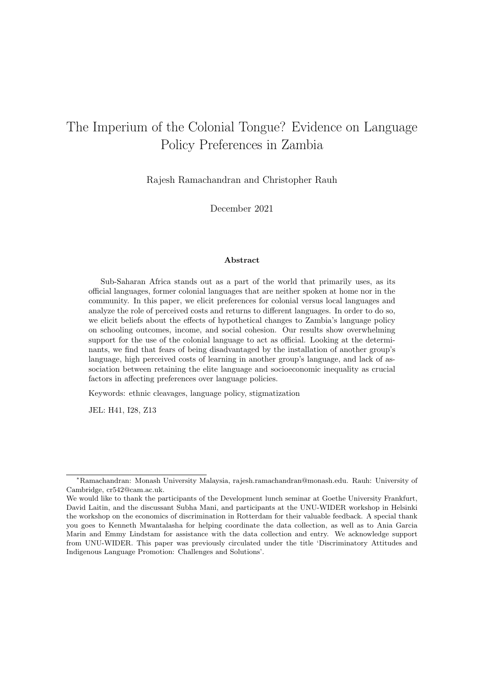### The Imperium of the Colonial Tongue? Evidence on Language Policy Preferences in Zambia

Rajesh Ramachandran and Christopher Rauh

December 2021

#### Abstract

Sub-Saharan Africa stands out as a part of the world that primarily uses, as its ocial languages, former colonial languages that are neither spoken at home nor in the community. In this paper, we elicit preferences for colonial versus local languages and analyze the role of perceived costs and returns to different languages. In order to do so, we elicit beliefs about the effects of hypothetical changes to Zambia's language policy on schooling outcomes, income, and social cohesion. Our results show overwhelming support for the use of the colonial language to act as official. Looking at the determinants, we find that fears of being disadvantaged by the installation of another group's language, high perceived costs of learning in another group's language, and lack of association between retaining the elite language and socioeconomic inequality as crucial factors in affecting preferences over language policies.

Keywords: ethnic cleavages, language policy, stigmatization

JEL: H41, I28, Z13

<sup>∗</sup>Ramachandran: Monash University Malaysia, rajesh.ramachandran@monash.edu. Rauh: University of Cambridge, cr542@cam.ac.uk.

We would like to thank the participants of the Development lunch seminar at Goethe University Frankfurt, David Laitin, and the discussant Subha Mani, and participants at the UNU-WIDER workshop in Helsinki the workshop on the economics of discrimination in Rotterdam for their valuable feedback. A special thank you goes to Kenneth Mwantalasha for helping coordinate the data collection, as well as to Ania Garcia Marin and Emmy Lindstam for assistance with the data collection and entry. We acknowledge support from UNU-WIDER. This paper was previously circulated under the title 'Discriminatory Attitudes and Indigenous Language Promotion: Challenges and Solutions'.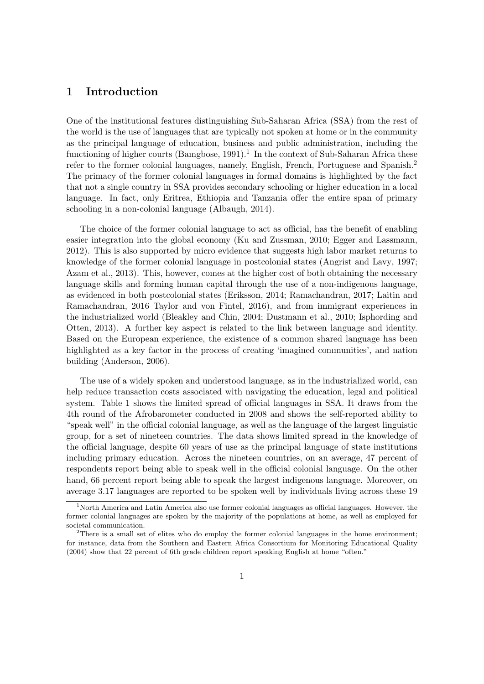#### 1 Introduction

One of the institutional features distinguishing Sub-Saharan Africa (SSA) from the rest of the world is the use of languages that are typically not spoken at home or in the community as the principal language of education, business and public administration, including the functioning of higher courts (Bamgbose, 1991).<sup>1</sup> In the context of Sub-Saharan Africa these refer to the former colonial languages, namely, English, French, Portuguese and Spanish.<sup>2</sup> The primacy of the former colonial languages in formal domains is highlighted by the fact that not a single country in SSA provides secondary schooling or higher education in a local language. In fact, only Eritrea, Ethiopia and Tanzania offer the entire span of primary schooling in a non-colonial language (Albaugh, 2014).

The choice of the former colonial language to act as official, has the benefit of enabling easier integration into the global economy (Ku and Zussman, 2010; Egger and Lassmann, 2012). This is also supported by micro evidence that suggests high labor market returns to knowledge of the former colonial language in postcolonial states (Angrist and Lavy, 1997; Azam et al., 2013). This, however, comes at the higher cost of both obtaining the necessary language skills and forming human capital through the use of a non-indigenous language, as evidenced in both postcolonial states (Eriksson, 2014; Ramachandran, 2017; Laitin and Ramachandran, 2016 Taylor and von Fintel, 2016), and from immigrant experiences in the industrialized world (Bleakley and Chin, 2004; Dustmann et al., 2010; Isphording and Otten, 2013). A further key aspect is related to the link between language and identity. Based on the European experience, the existence of a common shared language has been highlighted as a key factor in the process of creating 'imagined communities', and nation building (Anderson, 2006).

The use of a widely spoken and understood language, as in the industrialized world, can help reduce transaction costs associated with navigating the education, legal and political system. Table 1 shows the limited spread of official languages in SSA. It draws from the 4th round of the Afrobarometer conducted in 2008 and shows the self-reported ability to "speak well" in the official colonial language, as well as the language of the largest linguistic group, for a set of nineteen countries. The data shows limited spread in the knowledge of the official language, despite 60 years of use as the principal language of state institutions including primary education. Across the nineteen countries, on an average, 47 percent of respondents report being able to speak well in the official colonial language. On the other hand, 66 percent report being able to speak the largest indigenous language. Moreover, on average 3.17 languages are reported to be spoken well by individuals living across these 19

 $1$ North America and Latin America also use former colonial languages as official languages. However, the former colonial languages are spoken by the majority of the populations at home, as well as employed for societal communication.

<sup>&</sup>lt;sup>2</sup>There is a small set of elites who do employ the former colonial languages in the home environment; for instance, data from the Southern and Eastern Africa Consortium for Monitoring Educational Quality (2004) show that 22 percent of 6th grade children report speaking English at home "often."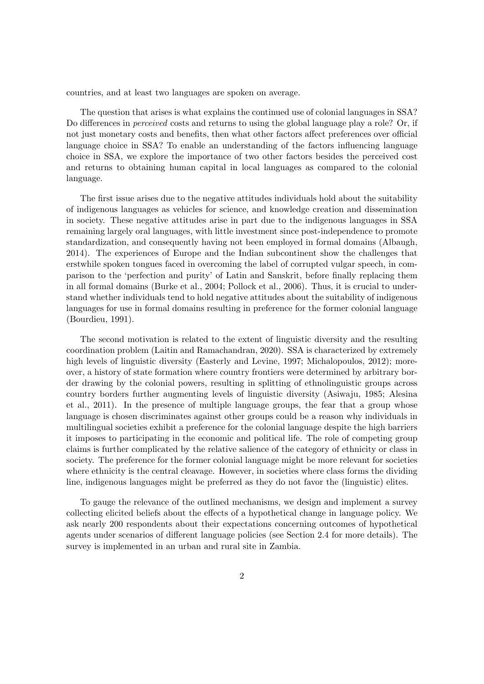countries, and at least two languages are spoken on average.

The question that arises is what explains the continued use of colonial languages in SSA? Do differences in *perceived* costs and returns to using the global language play a role? Or, if not just monetary costs and benefits, then what other factors affect preferences over official language choice in SSA? To enable an understanding of the factors influencing language choice in SSA, we explore the importance of two other factors besides the perceived cost and returns to obtaining human capital in local languages as compared to the colonial language.

The first issue arises due to the negative attitudes individuals hold about the suitability of indigenous languages as vehicles for science, and knowledge creation and dissemination in society. These negative attitudes arise in part due to the indigenous languages in SSA remaining largely oral languages, with little investment since post-independence to promote standardization, and consequently having not been employed in formal domains (Albaugh, 2014). The experiences of Europe and the Indian subcontinent show the challenges that erstwhile spoken tongues faced in overcoming the label of corrupted vulgar speech, in comparison to the 'perfection and purity' of Latin and Sanskrit, before finally replacing them in all formal domains (Burke et al., 2004; Pollock et al., 2006). Thus, it is crucial to understand whether individuals tend to hold negative attitudes about the suitability of indigenous languages for use in formal domains resulting in preference for the former colonial language (Bourdieu, 1991).

The second motivation is related to the extent of linguistic diversity and the resulting coordination problem (Laitin and Ramachandran, 2020). SSA is characterized by extremely high levels of linguistic diversity (Easterly and Levine, 1997; Michalopoulos, 2012); moreover, a history of state formation where country frontiers were determined by arbitrary border drawing by the colonial powers, resulting in splitting of ethnolinguistic groups across country borders further augmenting levels of linguistic diversity (Asiwaju, 1985; Alesina et al., 2011). In the presence of multiple language groups, the fear that a group whose language is chosen discriminates against other groups could be a reason why individuals in multilingual societies exhibit a preference for the colonial language despite the high barriers it imposes to participating in the economic and political life. The role of competing group claims is further complicated by the relative salience of the category of ethnicity or class in society. The preference for the former colonial language might be more relevant for societies where ethnicity is the central cleavage. However, in societies where class forms the dividing line, indigenous languages might be preferred as they do not favor the (linguistic) elites.

To gauge the relevance of the outlined mechanisms, we design and implement a survey collecting elicited beliefs about the effects of a hypothetical change in language policy. We ask nearly 200 respondents about their expectations concerning outcomes of hypothetical agents under scenarios of different language policies (see Section 2.4 for more details). The survey is implemented in an urban and rural site in Zambia.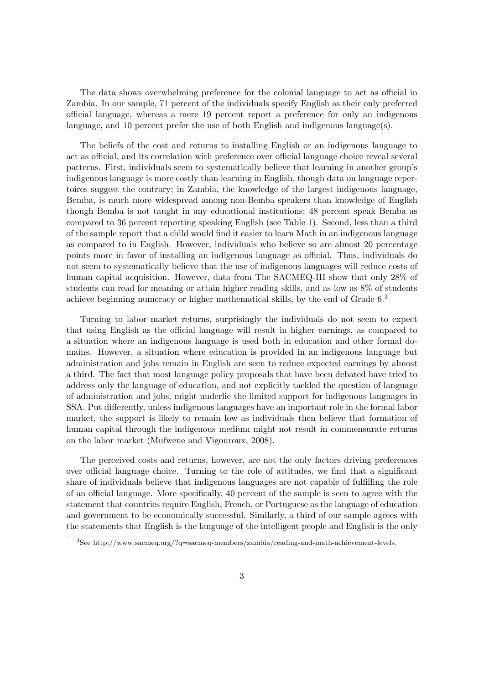The data shows overwhelming preference for the colonial language to act as official in Zambia. In our sample, 71 percent of the individuals specify English as their only preferred official language, whereas a mere 19 percent report a preference for only an indigenous language, and 10 percent prefer the use of both English and indigenous language(s).

The beliefs of the cost and returns to installing English or an indigenous language to act as official, and its correlation with preference over official language choice reveal several patterns. First, individuals seem to systematically believe that learning in another group's indigenous language is more costly than learning in English, though data on language repertoires suggest the contrary; in Zambia, the knowledge of the largest indigenous language, Bemba, is much more widespread among non-Bemba speakers than knowledge of English though Bemba is not taught in any educational institutions; 48 percent speak Bemba as compared to 36 percent reporting speaking English (see Table 1). Second, less than a third of the sample report that a child would find it easier to learn Math in an indigenous language as compared to in English. However, individuals who believe so are almost 20 percentage points more in favor of installing an indigenous language as official. Thus, individuals do not seem to systematically believe that the use of indigenous languages will reduce costs of human capital acquisition. However, data from The SACMEQ-III show that only 28% of students can read for meaning or attain higher reading skills, and as low as 8% of students achieve beginning numeracy or higher mathematical skills, by the end of Grade 6.<sup>3</sup>

Turning to labor market returns, surprisingly the individuals do not seem to expect that using English as the official language will result in higher earnings, as compared to a situation where an indigenous language is used both in education and other formal domains. However, a situation where education is provided in an indigenous language but administration and jobs remain in English are seen to reduce expected earnings by almost a third. The fact that most language policy proposals that have been debated have tried to address only the language of education, and not explicitly tackled the question of language of administration and jobs, might underlie the limited support for indigenous languages in SSA. Put differently, unless indigenous languages have an important role in the formal labor market, the support is likely to remain low as individuals then believe that formation of human capital through the indigenous medium might not result in commensurate returns on the labor market (Mufwene and Vigouroux, 2008).

The perceived costs and returns, however, are not the only factors driving preferences over official language choice. Turning to the role of attitudes, we find that a significant share of individuals believe that indigenous languages are not capable of fulfilling the role of an official language. More specifically, 40 percent of the sample is seen to agree with the statement that countries require English, French, or Portuguese as the language of education and government to be economically successful. Similarly, a third of our sample agrees with the statements that English is the language of the intelligent people and English is the only

<sup>3</sup>See http://www.sacmeq.org/?q=sacmeq-members/zambia/reading-and-math-achievement-levels.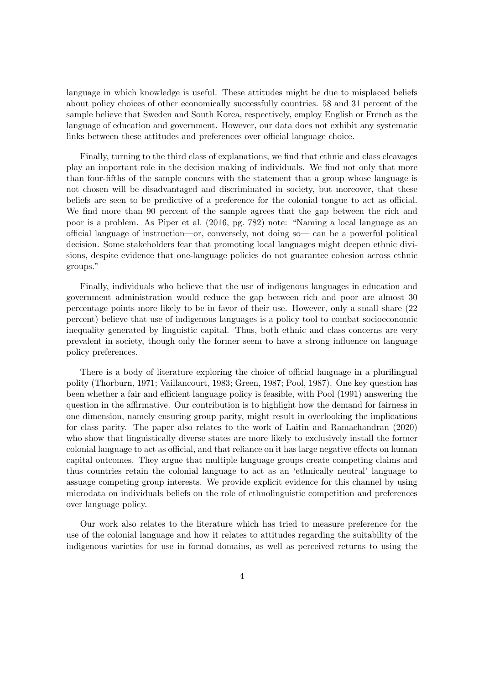language in which knowledge is useful. These attitudes might be due to misplaced beliefs about policy choices of other economically successfully countries. 58 and 31 percent of the sample believe that Sweden and South Korea, respectively, employ English or French as the language of education and government. However, our data does not exhibit any systematic links between these attitudes and preferences over official language choice.

Finally, turning to the third class of explanations, we find that ethnic and class cleavages play an important role in the decision making of individuals. We find not only that more than four-fifths of the sample concurs with the statement that a group whose language is not chosen will be disadvantaged and discriminated in society, but moreover, that these beliefs are seen to be predictive of a preference for the colonial tongue to act as official. We find more than 90 percent of the sample agrees that the gap between the rich and poor is a problem. As Piper et al. (2016, pg. 782) note: "Naming a local language as an ocial language of instruction—or, conversely, not doing so— can be a powerful political decision. Some stakeholders fear that promoting local languages might deepen ethnic divisions, despite evidence that one-language policies do not guarantee cohesion across ethnic groups."

Finally, individuals who believe that the use of indigenous languages in education and government administration would reduce the gap between rich and poor are almost 30 percentage points more likely to be in favor of their use. However, only a small share (22 percent) believe that use of indigenous languages is a policy tool to combat socioeconomic inequality generated by linguistic capital. Thus, both ethnic and class concerns are very prevalent in society, though only the former seem to have a strong influence on language policy preferences.

There is a body of literature exploring the choice of official language in a plurilingual polity (Thorburn, 1971; Vaillancourt, 1983; Green, 1987; Pool, 1987). One key question has been whether a fair and efficient language policy is feasible, with Pool (1991) answering the question in the affirmative. Our contribution is to highlight how the demand for fairness in one dimension, namely ensuring group parity, might result in overlooking the implications for class parity. The paper also relates to the work of Laitin and Ramachandran (2020) who show that linguistically diverse states are more likely to exclusively install the former colonial language to act as official, and that reliance on it has large negative effects on human capital outcomes. They argue that multiple language groups create competing claims and thus countries retain the colonial language to act as an 'ethnically neutral' language to assuage competing group interests. We provide explicit evidence for this channel by using microdata on individuals beliefs on the role of ethnolinguistic competition and preferences over language policy.

Our work also relates to the literature which has tried to measure preference for the use of the colonial language and how it relates to attitudes regarding the suitability of the indigenous varieties for use in formal domains, as well as perceived returns to using the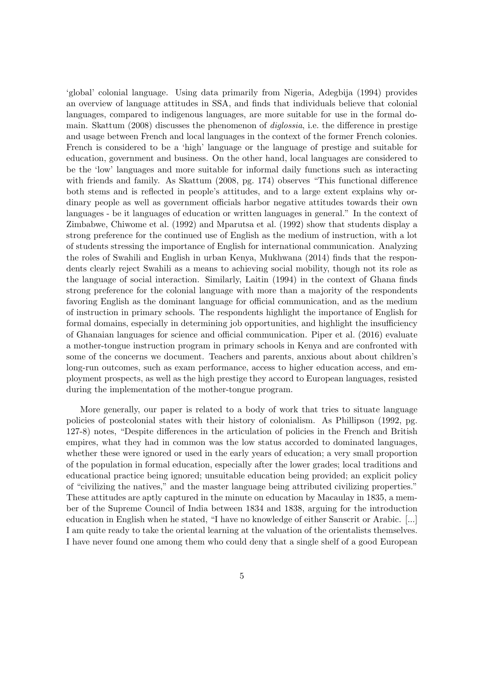'global' colonial language. Using data primarily from Nigeria, Adegbija (1994) provides an overview of language attitudes in SSA, and finds that individuals believe that colonial languages, compared to indigenous languages, are more suitable for use in the formal domain. Skattum (2008) discusses the phenomenon of *diglossia*, i.e. the difference in prestige and usage between French and local languages in the context of the former French colonies. French is considered to be a 'high' language or the language of prestige and suitable for education, government and business. On the other hand, local languages are considered to be the 'low' languages and more suitable for informal daily functions such as interacting with friends and family. As Skattum  $(2008, \text{pg. } 174)$  observes "This functional difference both stems and is reflected in people's attitudes, and to a large extent explains why ordinary people as well as government officials harbor negative attitudes towards their own languages - be it languages of education or written languages in general." In the context of Zimbabwe, Chiwome et al. (1992) and Mparutsa et al. (1992) show that students display a strong preference for the continued use of English as the medium of instruction, with a lot of students stressing the importance of English for international communication. Analyzing the roles of Swahili and English in urban Kenya, Mukhwana (2014) finds that the respondents clearly reject Swahili as a means to achieving social mobility, though not its role as the language of social interaction. Similarly, Laitin (1994) in the context of Ghana finds strong preference for the colonial language with more than a majority of the respondents favoring English as the dominant language for official communication, and as the medium of instruction in primary schools. The respondents highlight the importance of English for formal domains, especially in determining job opportunities, and highlight the insufficiency of Ghanaian languages for science and official communication. Piper et al. (2016) evaluate a mother-tongue instruction program in primary schools in Kenya and are confronted with some of the concerns we document. Teachers and parents, anxious about about children's long-run outcomes, such as exam performance, access to higher education access, and employment prospects, as well as the high prestige they accord to European languages, resisted during the implementation of the mother-tongue program.

More generally, our paper is related to a body of work that tries to situate language policies of postcolonial states with their history of colonialism. As Phillipson (1992, pg. 127-8) notes, "Despite differences in the articulation of policies in the French and British empires, what they had in common was the low status accorded to dominated languages, whether these were ignored or used in the early years of education; a very small proportion of the population in formal education, especially after the lower grades; local traditions and educational practice being ignored; unsuitable education being provided; an explicit policy of "civilizing the natives," and the master language being attributed civilizing properties." These attitudes are aptly captured in the minute on education by Macaulay in 1835, a member of the Supreme Council of India between 1834 and 1838, arguing for the introduction education in English when he stated, "I have no knowledge of either Sanscrit or Arabic. [...] I am quite ready to take the oriental learning at the valuation of the orientalists themselves. I have never found one among them who could deny that a single shelf of a good European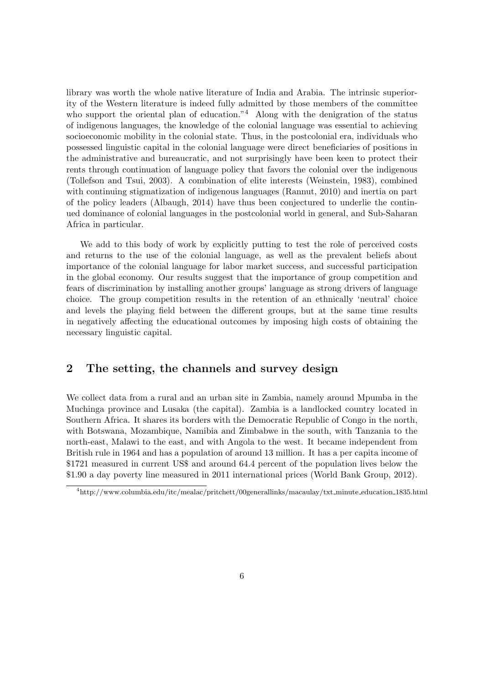library was worth the whole native literature of India and Arabia. The intrinsic superiority of the Western literature is indeed fully admitted by those members of the committee who support the oriental plan of education."<sup>4</sup> Along with the denigration of the status of indigenous languages, the knowledge of the colonial language was essential to achieving socioeconomic mobility in the colonial state. Thus, in the postcolonial era, individuals who possessed linguistic capital in the colonial language were direct beneficiaries of positions in the administrative and bureaucratic, and not surprisingly have been keen to protect their rents through continuation of language policy that favors the colonial over the indigenous (Tollefson and Tsui, 2003). A combination of elite interests (Weinstein, 1983), combined with continuing stigmatization of indigenous languages (Rannut, 2010) and inertia on part of the policy leaders (Albaugh, 2014) have thus been conjectured to underlie the continued dominance of colonial languages in the postcolonial world in general, and Sub-Saharan Africa in particular.

We add to this body of work by explicitly putting to test the role of perceived costs and returns to the use of the colonial language, as well as the prevalent beliefs about importance of the colonial language for labor market success, and successful participation in the global economy. Our results suggest that the importance of group competition and fears of discrimination by installing another groups' language as strong drivers of language choice. The group competition results in the retention of an ethnically 'neutral' choice and levels the playing field between the different groups, but at the same time results in negatively affecting the educational outcomes by imposing high costs of obtaining the necessary linguistic capital.

#### 2 The setting, the channels and survey design

We collect data from a rural and an urban site in Zambia, namely around Mpumba in the Muchinga province and Lusaka (the capital). Zambia is a landlocked country located in Southern Africa. It shares its borders with the Democratic Republic of Congo in the north, with Botswana, Mozambique, Namibia and Zimbabwe in the south, with Tanzania to the north-east, Malawi to the east, and with Angola to the west. It became independent from British rule in 1964 and has a population of around 13 million. It has a per capita income of \$1721 measured in current US\$ and around 64.4 percent of the population lives below the \$1.90 a day poverty line measured in 2011 international prices (World Bank Group, 2012).

<sup>4</sup>http://www.columbia.edu/itc/mealac/pritchett/00generallinks/macaulay/txt minute education 1835.html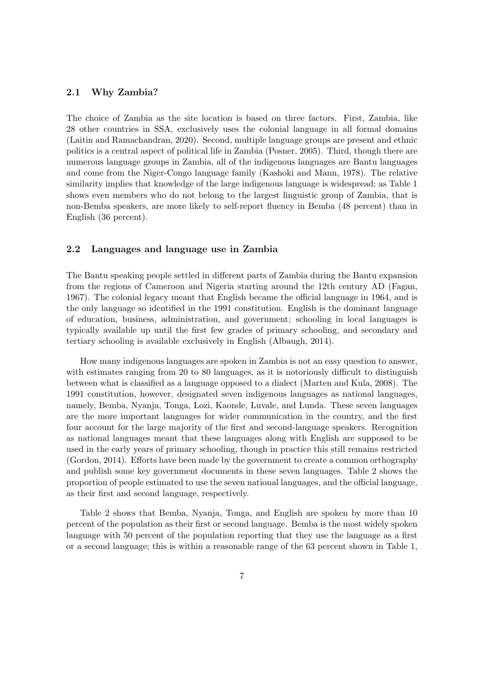#### 2.1 Why Zambia?

The choice of Zambia as the site location is based on three factors. First, Zambia, like 28 other countries in SSA, exclusively uses the colonial language in all formal domains (Laitin and Ramachandran, 2020). Second, multiple language groups are present and ethnic politics is a central aspect of political life in Zambia (Posner, 2005). Third, though there are numerous language groups in Zambia, all of the indigenous languages are Bantu languages and come from the Niger-Congo language family (Kashoki and Mann, 1978). The relative similarity implies that knowledge of the large indigenous language is widespread; as Table 1 shows even members who do not belong to the largest linguistic group of Zambia, that is non-Bemba speakers, are more likely to self-report fluency in Bemba (48 percent) than in English (36 percent).

#### 2.2 Languages and language use in Zambia

The Bantu speaking people settled in different parts of Zambia during the Bantu expansion from the regions of Cameroon and Nigeria starting around the 12th century AD (Fagan, 1967). The colonial legacy meant that English became the official language in 1964, and is the only language so identified in the 1991 constitution. English is the dominant language of education, business, administration, and government; schooling in local languages is typically available up until the first few grades of primary schooling, and secondary and tertiary schooling is available exclusively in English (Albaugh, 2014).

How many indigenous languages are spoken in Zambia is not an easy question to answer, with estimates ranging from  $20$  to  $80$  languages, as it is notoriously difficult to distinguish between what is classified as a language opposed to a dialect (Marten and Kula, 2008). The 1991 constitution, however, designated seven indigenous languages as national languages, namely, Bemba, Nyanja, Tonga, Lozi, Kaonde, Luvale, and Lunda. These seven languages are the more important languages for wider communication in the country, and the first four account for the large majority of the first and second-language speakers. Recognition as national languages meant that these languages along with English are supposed to be used in the early years of primary schooling, though in practice this still remains restricted  $(Gordon, 2014)$ . Efforts have been made by the government to create a common orthography and publish some key government documents in these seven languages. Table 2 shows the proportion of people estimated to use the seven national languages, and the official language, as their first and second language, respectively.

Table 2 shows that Bemba, Nyanja, Tonga, and English are spoken by more than 10 percent of the population as their first or second language. Bemba is the most widely spoken language with 50 percent of the population reporting that they use the language as a first or a second language; this is within a reasonable range of the 63 percent shown in Table 1,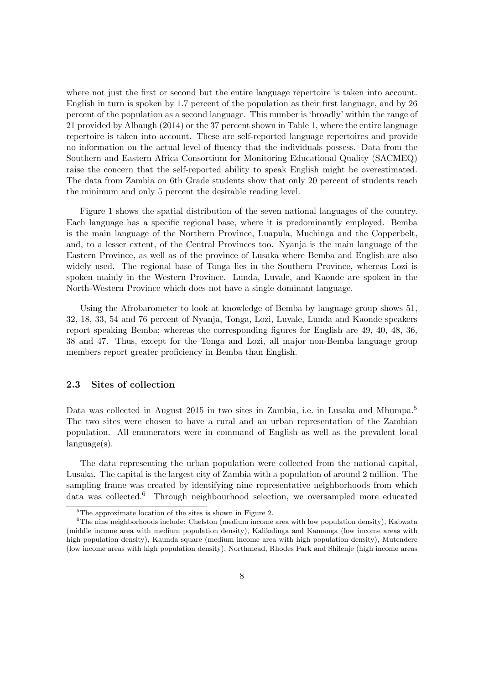where not just the first or second but the entire language repertoire is taken into account. English in turn is spoken by 1.7 percent of the population as their first language, and by 26 percent of the population as a second language. This number is 'broadly' within the range of 21 provided by Albaugh (2014) or the 37 percent shown in Table 1, where the entire language repertoire is taken into account. These are self-reported language repertoires and provide no information on the actual level of fluency that the individuals possess. Data from the Southern and Eastern Africa Consortium for Monitoring Educational Quality (SACMEQ) raise the concern that the self-reported ability to speak English might be overestimated. The data from Zambia on 6th Grade students show that only 20 percent of students reach the minimum and only 5 percent the desirable reading level.

Figure 1 shows the spatial distribution of the seven national languages of the country. Each language has a specific regional base, where it is predominantly employed. Bemba is the main language of the Northern Province, Luapula, Muchinga and the Copperbelt, and, to a lesser extent, of the Central Provinces too. Nyanja is the main language of the Eastern Province, as well as of the province of Lusaka where Bemba and English are also widely used. The regional base of Tonga lies in the Southern Province, whereas Lozi is spoken mainly in the Western Province. Lunda, Luvale, and Kaonde are spoken in the North-Western Province which does not have a single dominant language.

Using the Afrobarometer to look at knowledge of Bemba by language group shows 51, 32, 18, 33, 54 and 76 percent of Nyanja, Tonga, Lozi, Luvale, Lunda and Kaonde speakers report speaking Bemba; whereas the corresponding figures for English are 49, 40, 48, 36, 38 and 47. Thus, except for the Tonga and Lozi, all major non-Bemba language group members report greater proficiency in Bemba than English.

#### 2.3 Sites of collection

Data was collected in August 2015 in two sites in Zambia, i.e. in Lusaka and Mbumpa.<sup>5</sup> The two sites were chosen to have a rural and an urban representation of the Zambian population. All enumerators were in command of English as well as the prevalent local language(s).

The data representing the urban population were collected from the national capital, Lusaka. The capital is the largest city of Zambia with a population of around 2 million. The sampling frame was created by identifying nine representative neighborhoods from which data was collected.<sup>6</sup> Through neighbourhood selection, we oversampled more educated

<sup>&</sup>lt;sup>5</sup>The approximate location of the sites is shown in Figure 2.

 $6$ The nine neighborhoods include: Chelston (medium income area with low population density), Kabwata (middle income area with medium population density), Kalikalinga and Kamanga (low income areas with high population density), Kaunda square (medium income area with high population density), Mutendere (low income areas with high population density), Northmead, Rhodes Park and Shilenje (high income areas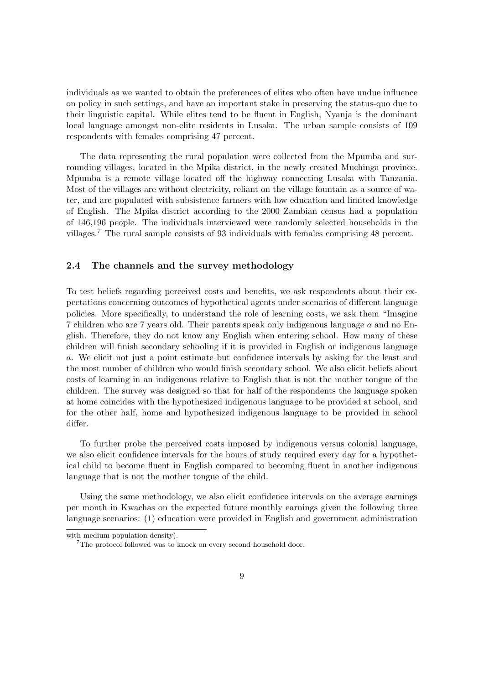individuals as we wanted to obtain the preferences of elites who often have undue influence on policy in such settings, and have an important stake in preserving the status-quo due to their linguistic capital. While elites tend to be fluent in English, Nyanja is the dominant local language amongst non-elite residents in Lusaka. The urban sample consists of 109 respondents with females comprising 47 percent.

The data representing the rural population were collected from the Mpumba and surrounding villages, located in the Mpika district, in the newly created Muchinga province. Mpumba is a remote village located off the highway connecting Lusaka with Tanzania. Most of the villages are without electricity, reliant on the village fountain as a source of water, and are populated with subsistence farmers with low education and limited knowledge of English. The Mpika district according to the 2000 Zambian census had a population of 146,196 people. The individuals interviewed were randomly selected households in the villages.<sup>7</sup> The rural sample consists of 93 individuals with females comprising 48 percent.

#### 2.4 The channels and the survey methodology

To test beliefs regarding perceived costs and benefits, we ask respondents about their expectations concerning outcomes of hypothetical agents under scenarios of different language policies. More specifically, to understand the role of learning costs, we ask them "Imagine 7 children who are 7 years old. Their parents speak only indigenous language *a* and no English. Therefore, they do not know any English when entering school. How many of these children will finish secondary schooling if it is provided in English or indigenous language *a*. We elicit not just a point estimate but confidence intervals by asking for the least and the most number of children who would finish secondary school. We also elicit beliefs about costs of learning in an indigenous relative to English that is not the mother tongue of the children. The survey was designed so that for half of the respondents the language spoken at home coincides with the hypothesized indigenous language to be provided at school, and for the other half, home and hypothesized indigenous language to be provided in school differ.

To further probe the perceived costs imposed by indigenous versus colonial language, we also elicit confidence intervals for the hours of study required every day for a hypothetical child to become fluent in English compared to becoming fluent in another indigenous language that is not the mother tongue of the child.

Using the same methodology, we also elicit confidence intervals on the average earnings per month in Kwachas on the expected future monthly earnings given the following three language scenarios: (1) education were provided in English and government administration

with medium population density).

<sup>&</sup>lt;sup>7</sup>The protocol followed was to knock on every second household door.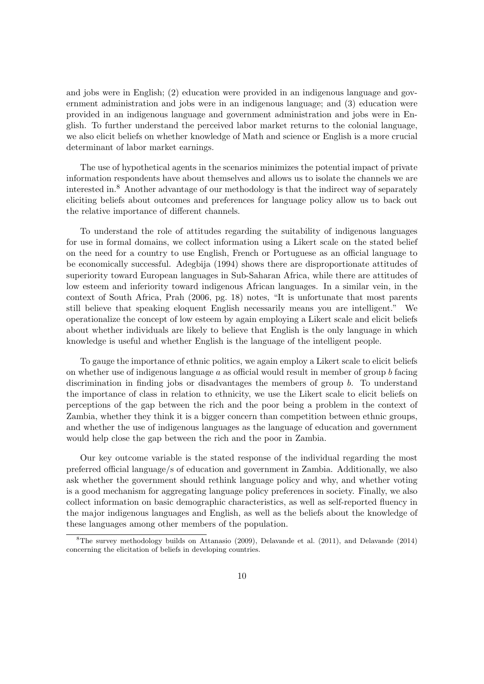and jobs were in English; (2) education were provided in an indigenous language and government administration and jobs were in an indigenous language; and (3) education were provided in an indigenous language and government administration and jobs were in English. To further understand the perceived labor market returns to the colonial language, we also elicit beliefs on whether knowledge of Math and science or English is a more crucial determinant of labor market earnings.

The use of hypothetical agents in the scenarios minimizes the potential impact of private information respondents have about themselves and allows us to isolate the channels we are interested in.<sup>8</sup> Another advantage of our methodology is that the indirect way of separately eliciting beliefs about outcomes and preferences for language policy allow us to back out the relative importance of different channels.

To understand the role of attitudes regarding the suitability of indigenous languages for use in formal domains, we collect information using a Likert scale on the stated belief on the need for a country to use English, French or Portuguese as an ocial language to be economically successful. Adegbija (1994) shows there are disproportionate attitudes of superiority toward European languages in Sub-Saharan Africa, while there are attitudes of low esteem and inferiority toward indigenous African languages. In a similar vein, in the context of South Africa, Prah (2006, pg. 18) notes, "It is unfortunate that most parents still believe that speaking eloquent English necessarily means you are intelligent." We operationalize the concept of low esteem by again employing a Likert scale and elicit beliefs about whether individuals are likely to believe that English is the only language in which knowledge is useful and whether English is the language of the intelligent people.

To gauge the importance of ethnic politics, we again employ a Likert scale to elicit beliefs on whether use of indigenous language *a* as official would result in member of group *b* facing discrimination in finding jobs or disadvantages the members of group *b*. To understand the importance of class in relation to ethnicity, we use the Likert scale to elicit beliefs on perceptions of the gap between the rich and the poor being a problem in the context of Zambia, whether they think it is a bigger concern than competition between ethnic groups, and whether the use of indigenous languages as the language of education and government would help close the gap between the rich and the poor in Zambia.

Our key outcome variable is the stated response of the individual regarding the most preferred ocial language/s of education and government in Zambia. Additionally, we also ask whether the government should rethink language policy and why, and whether voting is a good mechanism for aggregating language policy preferences in society. Finally, we also collect information on basic demographic characteristics, as well as self-reported fluency in the major indigenous languages and English, as well as the beliefs about the knowledge of these languages among other members of the population.

<sup>8</sup>The survey methodology builds on Attanasio (2009), Delavande et al. (2011), and Delavande (2014) concerning the elicitation of beliefs in developing countries.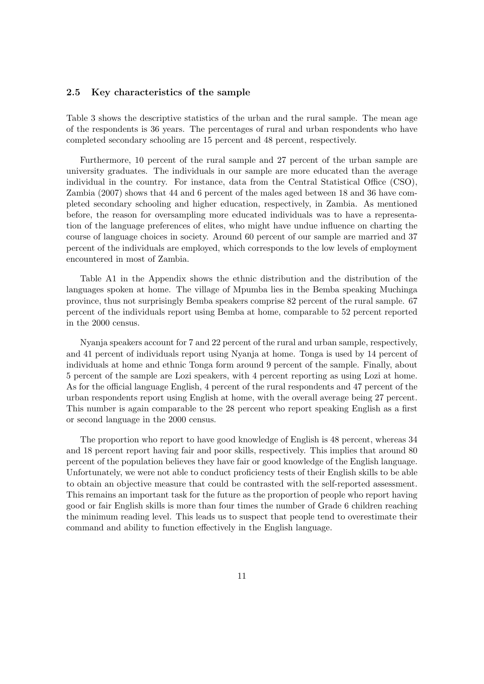#### 2.5 Key characteristics of the sample

Table 3 shows the descriptive statistics of the urban and the rural sample. The mean age of the respondents is 36 years. The percentages of rural and urban respondents who have completed secondary schooling are 15 percent and 48 percent, respectively.

Furthermore, 10 percent of the rural sample and 27 percent of the urban sample are university graduates. The individuals in our sample are more educated than the average individual in the country. For instance, data from the Central Statistical Office  $(CSO)$ , Zambia (2007) shows that 44 and 6 percent of the males aged between 18 and 36 have completed secondary schooling and higher education, respectively, in Zambia. As mentioned before, the reason for oversampling more educated individuals was to have a representation of the language preferences of elites, who might have undue influence on charting the course of language choices in society. Around 60 percent of our sample are married and 37 percent of the individuals are employed, which corresponds to the low levels of employment encountered in most of Zambia.

Table A1 in the Appendix shows the ethnic distribution and the distribution of the languages spoken at home. The village of Mpumba lies in the Bemba speaking Muchinga province, thus not surprisingly Bemba speakers comprise 82 percent of the rural sample. 67 percent of the individuals report using Bemba at home, comparable to 52 percent reported in the 2000 census.

Nyanja speakers account for 7 and 22 percent of the rural and urban sample, respectively, and 41 percent of individuals report using Nyanja at home. Tonga is used by 14 percent of individuals at home and ethnic Tonga form around 9 percent of the sample. Finally, about 5 percent of the sample are Lozi speakers, with 4 percent reporting as using Lozi at home. As for the official language English, 4 percent of the rural respondents and 47 percent of the urban respondents report using English at home, with the overall average being 27 percent. This number is again comparable to the 28 percent who report speaking English as a first or second language in the 2000 census.

The proportion who report to have good knowledge of English is 48 percent, whereas 34 and 18 percent report having fair and poor skills, respectively. This implies that around 80 percent of the population believes they have fair or good knowledge of the English language. Unfortunately, we were not able to conduct proficiency tests of their English skills to be able to obtain an objective measure that could be contrasted with the self-reported assessment. This remains an important task for the future as the proportion of people who report having good or fair English skills is more than four times the number of Grade 6 children reaching the minimum reading level. This leads us to suspect that people tend to overestimate their command and ability to function effectively in the English language.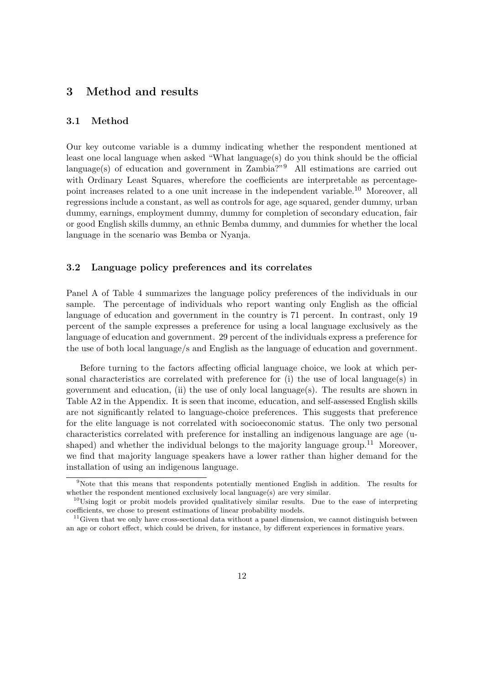#### 3 Method and results

#### 3.1 Method

Our key outcome variable is a dummy indicating whether the respondent mentioned at least one local language when asked "What language $(s)$  do you think should be the official language(s) of education and government in Zambia?"<sup>9</sup> All estimations are carried out with Ordinary Least Squares, wherefore the coefficients are interpretable as percentagepoint increases related to a one unit increase in the independent variable.<sup>10</sup> Moreover, all regressions include a constant, as well as controls for age, age squared, gender dummy, urban dummy, earnings, employment dummy, dummy for completion of secondary education, fair or good English skills dummy, an ethnic Bemba dummy, and dummies for whether the local language in the scenario was Bemba or Nyanja.

#### 3.2 Language policy preferences and its correlates

Panel A of Table 4 summarizes the language policy preferences of the individuals in our sample. The percentage of individuals who report wanting only English as the official language of education and government in the country is 71 percent. In contrast, only 19 percent of the sample expresses a preference for using a local language exclusively as the language of education and government. 29 percent of the individuals express a preference for the use of both local language/s and English as the language of education and government.

Before turning to the factors affecting official language choice, we look at which personal characteristics are correlated with preference for (i) the use of local language(s) in government and education, (ii) the use of only local language(s). The results are shown in Table A2 in the Appendix. It is seen that income, education, and self-assessed English skills are not significantly related to language-choice preferences. This suggests that preference for the elite language is not correlated with socioeconomic status. The only two personal characteristics correlated with preference for installing an indigenous language are age (ushaped) and whether the individual belongs to the majority language group.<sup>11</sup> Moreover, we find that majority language speakers have a lower rather than higher demand for the installation of using an indigenous language.

<sup>9</sup>Note that this means that respondents potentially mentioned English in addition. The results for whether the respondent mentioned exclusively local language(s) are very similar.

 $10$ Using logit or probit models provided qualitatively similar results. Due to the ease of interpreting coefficients, we chose to present estimations of linear probability models.

 $11$  Given that we only have cross-sectional data without a panel dimension, we cannot distinguish between an age or cohort effect, which could be driven, for instance, by different experiences in formative years.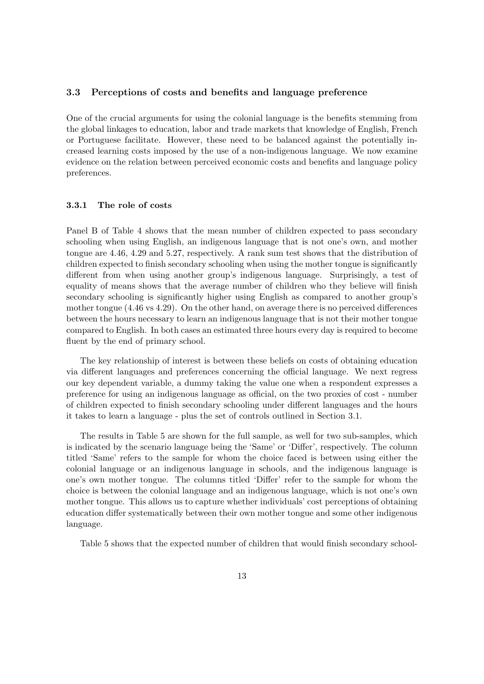#### 3.3 Perceptions of costs and benefits and language preference

One of the crucial arguments for using the colonial language is the benefits stemming from the global linkages to education, labor and trade markets that knowledge of English, French or Portuguese facilitate. However, these need to be balanced against the potentially increased learning costs imposed by the use of a non-indigenous language. We now examine evidence on the relation between perceived economic costs and benefits and language policy preferences.

#### 3.3.1 The role of costs

Panel B of Table 4 shows that the mean number of children expected to pass secondary schooling when using English, an indigenous language that is not one's own, and mother tongue are 4.46, 4.29 and 5.27, respectively. A rank sum test shows that the distribution of children expected to finish secondary schooling when using the mother tongue is significantly different from when using another group's indigenous language. Surprisingly, a test of equality of means shows that the average number of children who they believe will finish secondary schooling is significantly higher using English as compared to another group's mother tongue  $(4.46 \text{ vs } 4.29)$ . On the other hand, on average there is no perceived differences between the hours necessary to learn an indigenous language that is not their mother tongue compared to English. In both cases an estimated three hours every day is required to become fluent by the end of primary school.

The key relationship of interest is between these beliefs on costs of obtaining education via different languages and preferences concerning the official language. We next regress our key dependent variable, a dummy taking the value one when a respondent expresses a preference for using an indigenous language as official, on the two proxies of cost - number of children expected to finish secondary schooling under different languages and the hours it takes to learn a language - plus the set of controls outlined in Section 3.1.

The results in Table 5 are shown for the full sample, as well for two sub-samples, which is indicated by the scenario language being the 'Same' or 'Differ', respectively. The column titled 'Same' refers to the sample for whom the choice faced is between using either the colonial language or an indigenous language in schools, and the indigenous language is one's own mother tongue. The columns titled 'Differ' refer to the sample for whom the choice is between the colonial language and an indigenous language, which is not one's own mother tongue. This allows us to capture whether individuals' cost perceptions of obtaining education differ systematically between their own mother tongue and some other indigenous language.

Table 5 shows that the expected number of children that would finish secondary school-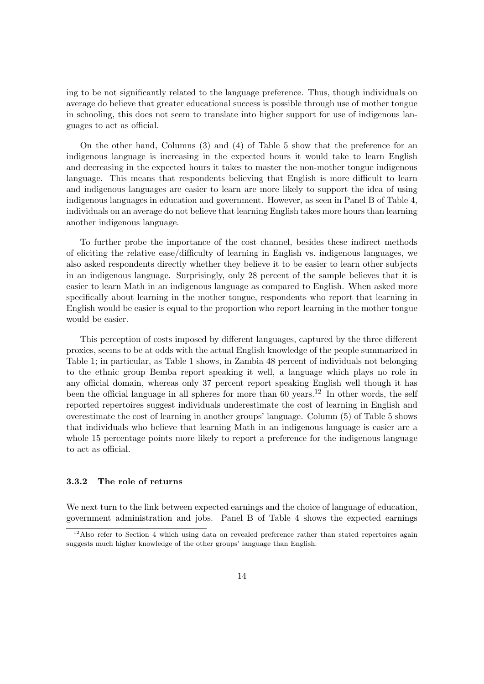ing to be not significantly related to the language preference. Thus, though individuals on average do believe that greater educational success is possible through use of mother tongue in schooling, this does not seem to translate into higher support for use of indigenous languages to act as official.

On the other hand, Columns (3) and (4) of Table 5 show that the preference for an indigenous language is increasing in the expected hours it would take to learn English and decreasing in the expected hours it takes to master the non-mother tongue indigenous language. This means that respondents believing that English is more difficult to learn and indigenous languages are easier to learn are more likely to support the idea of using indigenous languages in education and government. However, as seen in Panel B of Table 4, individuals on an average do not believe that learning English takes more hours than learning another indigenous language.

To further probe the importance of the cost channel, besides these indirect methods of eliciting the relative ease/difficulty of learning in English vs. indigenous languages, we also asked respondents directly whether they believe it to be easier to learn other subjects in an indigenous language. Surprisingly, only 28 percent of the sample believes that it is easier to learn Math in an indigenous language as compared to English. When asked more specifically about learning in the mother tongue, respondents who report that learning in English would be easier is equal to the proportion who report learning in the mother tongue would be easier.

This perception of costs imposed by different languages, captured by the three different proxies, seems to be at odds with the actual English knowledge of the people summarized in Table 1; in particular, as Table 1 shows, in Zambia 48 percent of individuals not belonging to the ethnic group Bemba report speaking it well, a language which plays no role in any official domain, whereas only 37 percent report speaking English well though it has been the official language in all spheres for more than 60 years.<sup>12</sup> In other words, the self reported repertoires suggest individuals underestimate the cost of learning in English and overestimate the cost of learning in another groups' language. Column (5) of Table 5 shows that individuals who believe that learning Math in an indigenous language is easier are a whole 15 percentage points more likely to report a preference for the indigenous language to act as official.

#### 3.3.2 The role of returns

We next turn to the link between expected earnings and the choice of language of education, government administration and jobs. Panel B of Table 4 shows the expected earnings

 $12$ Also refer to Section 4 which using data on revealed preference rather than stated repertoires again suggests much higher knowledge of the other groups' language than English.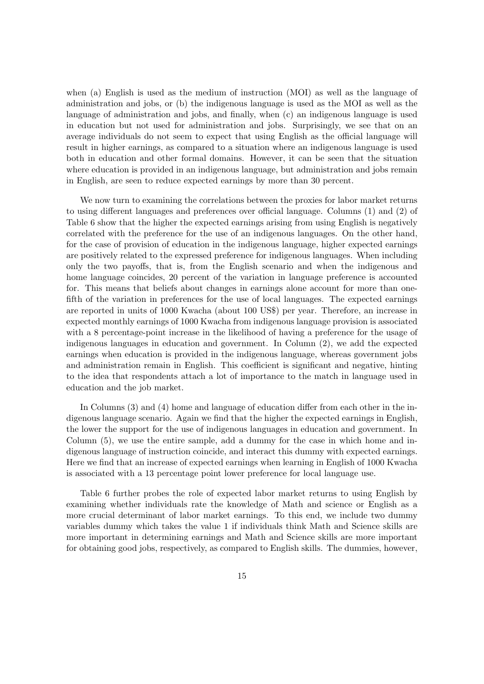when (a) English is used as the medium of instruction (MOI) as well as the language of administration and jobs, or (b) the indigenous language is used as the MOI as well as the language of administration and jobs, and finally, when (c) an indigenous language is used in education but not used for administration and jobs. Surprisingly, we see that on an average individuals do not seem to expect that using English as the official language will result in higher earnings, as compared to a situation where an indigenous language is used both in education and other formal domains. However, it can be seen that the situation where education is provided in an indigenous language, but administration and jobs remain in English, are seen to reduce expected earnings by more than 30 percent.

We now turn to examining the correlations between the proxies for labor market returns to using different languages and preferences over official language. Columns  $(1)$  and  $(2)$  of Table 6 show that the higher the expected earnings arising from using English is negatively correlated with the preference for the use of an indigenous languages. On the other hand, for the case of provision of education in the indigenous language, higher expected earnings are positively related to the expressed preference for indigenous languages. When including only the two payoffs, that is, from the English scenario and when the indigenous and home language coincides, 20 percent of the variation in language preference is accounted for. This means that beliefs about changes in earnings alone account for more than onefifth of the variation in preferences for the use of local languages. The expected earnings are reported in units of 1000 Kwacha (about 100 US\$) per year. Therefore, an increase in expected monthly earnings of 1000 Kwacha from indigenous language provision is associated with a 8 percentage-point increase in the likelihood of having a preference for the usage of indigenous languages in education and government. In Column (2), we add the expected earnings when education is provided in the indigenous language, whereas government jobs and administration remain in English. This coefficient is significant and negative, hinting to the idea that respondents attach a lot of importance to the match in language used in education and the job market.

In Columns  $(3)$  and  $(4)$  home and language of education differ from each other in the indigenous language scenario. Again we find that the higher the expected earnings in English, the lower the support for the use of indigenous languages in education and government. In Column (5), we use the entire sample, add a dummy for the case in which home and indigenous language of instruction coincide, and interact this dummy with expected earnings. Here we find that an increase of expected earnings when learning in English of 1000 Kwacha is associated with a 13 percentage point lower preference for local language use.

Table 6 further probes the role of expected labor market returns to using English by examining whether individuals rate the knowledge of Math and science or English as a more crucial determinant of labor market earnings. To this end, we include two dummy variables dummy which takes the value 1 if individuals think Math and Science skills are more important in determining earnings and Math and Science skills are more important for obtaining good jobs, respectively, as compared to English skills. The dummies, however,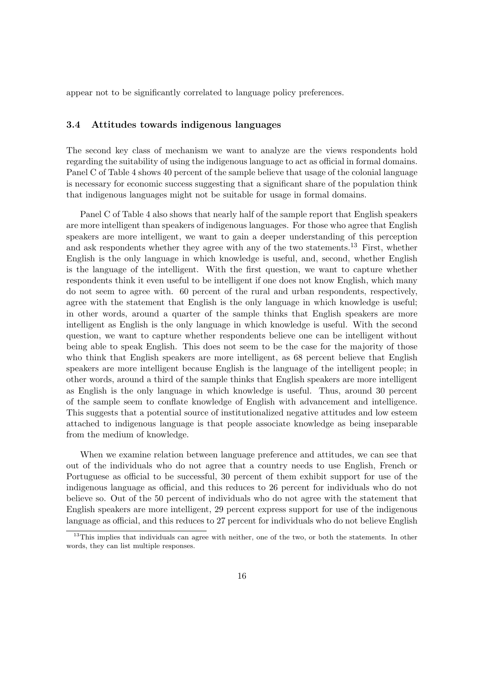appear not to be significantly correlated to language policy preferences.

#### 3.4 Attitudes towards indigenous languages

The second key class of mechanism we want to analyze are the views respondents hold regarding the suitability of using the indigenous language to act as official in formal domains. Panel C of Table 4 shows 40 percent of the sample believe that usage of the colonial language is necessary for economic success suggesting that a significant share of the population think that indigenous languages might not be suitable for usage in formal domains.

Panel C of Table 4 also shows that nearly half of the sample report that English speakers are more intelligent than speakers of indigenous languages. For those who agree that English speakers are more intelligent, we want to gain a deeper understanding of this perception and ask respondents whether they agree with any of the two statements.<sup>13</sup> First, whether English is the only language in which knowledge is useful, and, second, whether English is the language of the intelligent. With the first question, we want to capture whether respondents think it even useful to be intelligent if one does not know English, which many do not seem to agree with. 60 percent of the rural and urban respondents, respectively, agree with the statement that English is the only language in which knowledge is useful; in other words, around a quarter of the sample thinks that English speakers are more intelligent as English is the only language in which knowledge is useful. With the second question, we want to capture whether respondents believe one can be intelligent without being able to speak English. This does not seem to be the case for the majority of those who think that English speakers are more intelligent, as 68 percent believe that English speakers are more intelligent because English is the language of the intelligent people; in other words, around a third of the sample thinks that English speakers are more intelligent as English is the only language in which knowledge is useful. Thus, around 30 percent of the sample seem to conflate knowledge of English with advancement and intelligence. This suggests that a potential source of institutionalized negative attitudes and low esteem attached to indigenous language is that people associate knowledge as being inseparable from the medium of knowledge.

When we examine relation between language preference and attitudes, we can see that out of the individuals who do not agree that a country needs to use English, French or Portuguese as official to be successful, 30 percent of them exhibit support for use of the indigenous language as official, and this reduces to 26 percent for individuals who do not believe so. Out of the 50 percent of individuals who do not agree with the statement that English speakers are more intelligent, 29 percent express support for use of the indigenous language as official, and this reduces to 27 percent for individuals who do not believe English

<sup>&</sup>lt;sup>13</sup>This implies that individuals can agree with neither, one of the two, or both the statements. In other words, they can list multiple responses.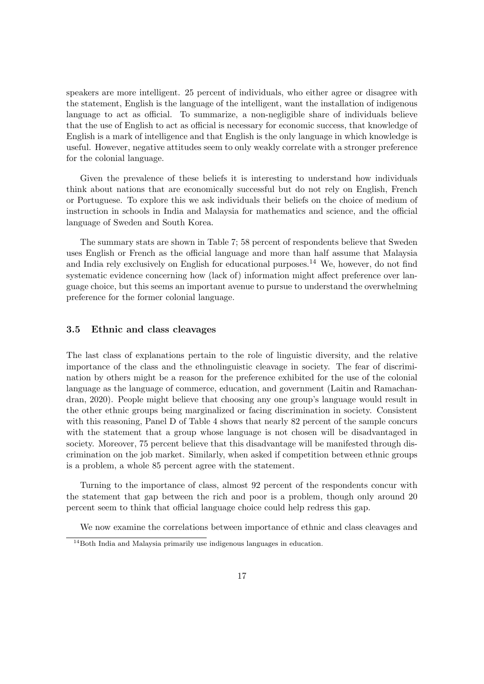speakers are more intelligent. 25 percent of individuals, who either agree or disagree with the statement, English is the language of the intelligent, want the installation of indigenous language to act as official. To summarize, a non-negligible share of individuals believe that the use of English to act as official is necessary for economic success, that knowledge of English is a mark of intelligence and that English is the only language in which knowledge is useful. However, negative attitudes seem to only weakly correlate with a stronger preference for the colonial language.

Given the prevalence of these beliefs it is interesting to understand how individuals think about nations that are economically successful but do not rely on English, French or Portuguese. To explore this we ask individuals their beliefs on the choice of medium of instruction in schools in India and Malaysia for mathematics and science, and the official language of Sweden and South Korea.

The summary stats are shown in Table 7; 58 percent of respondents believe that Sweden uses English or French as the official language and more than half assume that Malaysia and India rely exclusively on English for educational purposes.<sup>14</sup> We, however, do not find systematic evidence concerning how (lack of) information might affect preference over language choice, but this seems an important avenue to pursue to understand the overwhelming preference for the former colonial language.

#### 3.5 Ethnic and class cleavages

The last class of explanations pertain to the role of linguistic diversity, and the relative importance of the class and the ethnolinguistic cleavage in society. The fear of discrimination by others might be a reason for the preference exhibited for the use of the colonial language as the language of commerce, education, and government (Laitin and Ramachandran, 2020). People might believe that choosing any one group's language would result in the other ethnic groups being marginalized or facing discrimination in society. Consistent with this reasoning, Panel D of Table 4 shows that nearly 82 percent of the sample concurs with the statement that a group whose language is not chosen will be disadvantaged in society. Moreover, 75 percent believe that this disadvantage will be manifested through discrimination on the job market. Similarly, when asked if competition between ethnic groups is a problem, a whole 85 percent agree with the statement.

Turning to the importance of class, almost 92 percent of the respondents concur with the statement that gap between the rich and poor is a problem, though only around 20 percent seem to think that official language choice could help redress this gap.

We now examine the correlations between importance of ethnic and class cleavages and

<sup>&</sup>lt;sup>14</sup>Both India and Malaysia primarily use indigenous languages in education.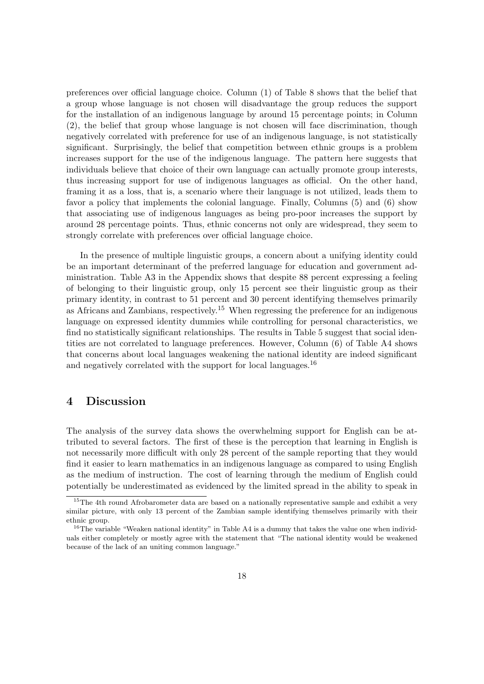preferences over official language choice. Column  $(1)$  of Table 8 shows that the belief that a group whose language is not chosen will disadvantage the group reduces the support for the installation of an indigenous language by around 15 percentage points; in Column (2), the belief that group whose language is not chosen will face discrimination, though negatively correlated with preference for use of an indigenous language, is not statistically significant. Surprisingly, the belief that competition between ethnic groups is a problem increases support for the use of the indigenous language. The pattern here suggests that individuals believe that choice of their own language can actually promote group interests, thus increasing support for use of indigenous languages as official. On the other hand, framing it as a loss, that is, a scenario where their language is not utilized, leads them to favor a policy that implements the colonial language. Finally, Columns (5) and (6) show that associating use of indigenous languages as being pro-poor increases the support by around 28 percentage points. Thus, ethnic concerns not only are widespread, they seem to strongly correlate with preferences over official language choice.

In the presence of multiple linguistic groups, a concern about a unifying identity could be an important determinant of the preferred language for education and government administration. Table A3 in the Appendix shows that despite 88 percent expressing a feeling of belonging to their linguistic group, only 15 percent see their linguistic group as their primary identity, in contrast to 51 percent and 30 percent identifying themselves primarily as Africans and Zambians, respectively.<sup>15</sup> When regressing the preference for an indigenous language on expressed identity dummies while controlling for personal characteristics, we find no statistically significant relationships. The results in Table 5 suggest that social identities are not correlated to language preferences. However, Column (6) of Table A4 shows that concerns about local languages weakening the national identity are indeed significant and negatively correlated with the support for local languages.<sup>16</sup>

#### 4 Discussion

The analysis of the survey data shows the overwhelming support for English can be attributed to several factors. The first of these is the perception that learning in English is not necessarily more difficult with only 28 percent of the sample reporting that they would find it easier to learn mathematics in an indigenous language as compared to using English as the medium of instruction. The cost of learning through the medium of English could potentially be underestimated as evidenced by the limited spread in the ability to speak in

<sup>&</sup>lt;sup>15</sup>The 4th round Afrobarometer data are based on a nationally representative sample and exhibit a very similar picture, with only 13 percent of the Zambian sample identifying themselves primarily with their ethnic group.

 $16$ The variable "Weaken national identity" in Table A4 is a dummy that takes the value one when individuals either completely or mostly agree with the statement that "The national identity would be weakened because of the lack of an uniting common language."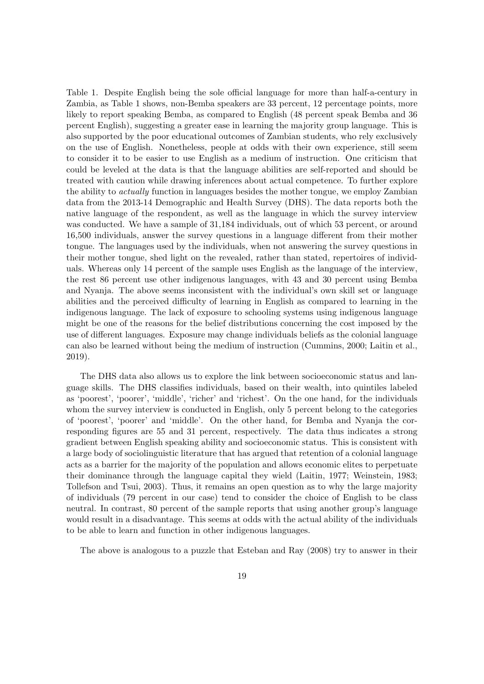Table 1. Despite English being the sole official language for more than half-a-century in Zambia, as Table 1 shows, non-Bemba speakers are 33 percent, 12 percentage points, more likely to report speaking Bemba, as compared to English (48 percent speak Bemba and 36 percent English), suggesting a greater ease in learning the majority group language. This is also supported by the poor educational outcomes of Zambian students, who rely exclusively on the use of English. Nonetheless, people at odds with their own experience, still seem to consider it to be easier to use English as a medium of instruction. One criticism that could be leveled at the data is that the language abilities are self-reported and should be treated with caution while drawing inferences about actual competence. To further explore the ability to *actually* function in languages besides the mother tongue, we employ Zambian data from the 2013-14 Demographic and Health Survey (DHS). The data reports both the native language of the respondent, as well as the language in which the survey interview was conducted. We have a sample of 31,184 individuals, out of which 53 percent, or around 16,500 individuals, answer the survey questions in a language different from their mother tongue. The languages used by the individuals, when not answering the survey questions in their mother tongue, shed light on the revealed, rather than stated, repertoires of individuals. Whereas only 14 percent of the sample uses English as the language of the interview, the rest 86 percent use other indigenous languages, with 43 and 30 percent using Bemba and Nyanja. The above seems inconsistent with the individual's own skill set or language abilities and the perceived difficulty of learning in English as compared to learning in the indigenous language. The lack of exposure to schooling systems using indigenous language might be one of the reasons for the belief distributions concerning the cost imposed by the use of different languages. Exposure may change individuals beliefs as the colonial language can also be learned without being the medium of instruction (Cummins, 2000; Laitin et al., 2019).

The DHS data also allows us to explore the link between socioeconomic status and language skills. The DHS classifies individuals, based on their wealth, into quintiles labeled as 'poorest', 'poorer', 'middle', 'richer' and 'richest'. On the one hand, for the individuals whom the survey interview is conducted in English, only 5 percent belong to the categories of 'poorest', 'poorer' and 'middle'. On the other hand, for Bemba and Nyanja the corresponding figures are 55 and 31 percent, respectively. The data thus indicates a strong gradient between English speaking ability and socioeconomic status. This is consistent with a large body of sociolinguistic literature that has argued that retention of a colonial language acts as a barrier for the majority of the population and allows economic elites to perpetuate their dominance through the language capital they wield (Laitin, 1977; Weinstein, 1983; Tollefson and Tsui, 2003). Thus, it remains an open question as to why the large majority of individuals (79 percent in our case) tend to consider the choice of English to be class neutral. In contrast, 80 percent of the sample reports that using another group's language would result in a disadvantage. This seems at odds with the actual ability of the individuals to be able to learn and function in other indigenous languages.

The above is analogous to a puzzle that Esteban and Ray (2008) try to answer in their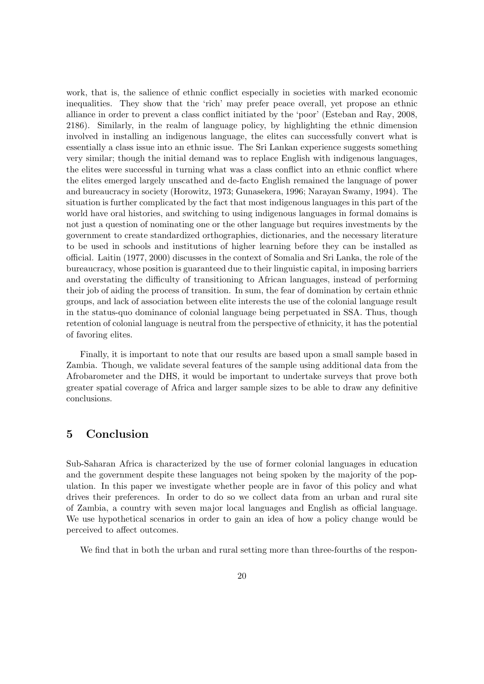work, that is, the salience of ethnic conflict especially in societies with marked economic inequalities. They show that the 'rich' may prefer peace overall, yet propose an ethnic alliance in order to prevent a class conflict initiated by the 'poor' (Esteban and Ray, 2008, 2186). Similarly, in the realm of language policy, by highlighting the ethnic dimension involved in installing an indigenous language, the elites can successfully convert what is essentially a class issue into an ethnic issue. The Sri Lankan experience suggests something very similar; though the initial demand was to replace English with indigenous languages, the elites were successful in turning what was a class conflict into an ethnic conflict where the elites emerged largely unscathed and de-facto English remained the language of power and bureaucracy in society (Horowitz, 1973; Gunasekera, 1996; Narayan Swamy, 1994). The situation is further complicated by the fact that most indigenous languages in this part of the world have oral histories, and switching to using indigenous languages in formal domains is not just a question of nominating one or the other language but requires investments by the government to create standardized orthographies, dictionaries, and the necessary literature to be used in schools and institutions of higher learning before they can be installed as ocial. Laitin (1977, 2000) discusses in the context of Somalia and Sri Lanka, the role of the bureaucracy, whose position is guaranteed due to their linguistic capital, in imposing barriers and overstating the difficulty of transitioning to African languages, instead of performing their job of aiding the process of transition. In sum, the fear of domination by certain ethnic groups, and lack of association between elite interests the use of the colonial language result in the status-quo dominance of colonial language being perpetuated in SSA. Thus, though retention of colonial language is neutral from the perspective of ethnicity, it has the potential of favoring elites.

Finally, it is important to note that our results are based upon a small sample based in Zambia. Though, we validate several features of the sample using additional data from the Afrobarometer and the DHS, it would be important to undertake surveys that prove both greater spatial coverage of Africa and larger sample sizes to be able to draw any definitive conclusions.

#### 5 Conclusion

Sub-Saharan Africa is characterized by the use of former colonial languages in education and the government despite these languages not being spoken by the majority of the population. In this paper we investigate whether people are in favor of this policy and what drives their preferences. In order to do so we collect data from an urban and rural site of Zambia, a country with seven major local languages and English as ocial language. We use hypothetical scenarios in order to gain an idea of how a policy change would be perceived to affect outcomes.

We find that in both the urban and rural setting more than three-fourths of the respon-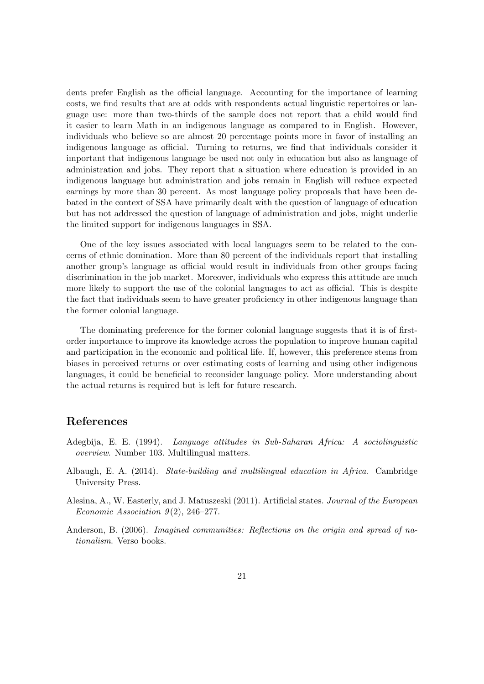dents prefer English as the official language. Accounting for the importance of learning costs, we find results that are at odds with respondents actual linguistic repertoires or language use: more than two-thirds of the sample does not report that a child would find it easier to learn Math in an indigenous language as compared to in English. However, individuals who believe so are almost 20 percentage points more in favor of installing an indigenous language as official. Turning to returns, we find that individuals consider it important that indigenous language be used not only in education but also as language of administration and jobs. They report that a situation where education is provided in an indigenous language but administration and jobs remain in English will reduce expected earnings by more than 30 percent. As most language policy proposals that have been debated in the context of SSA have primarily dealt with the question of language of education but has not addressed the question of language of administration and jobs, might underlie the limited support for indigenous languages in SSA.

One of the key issues associated with local languages seem to be related to the concerns of ethnic domination. More than 80 percent of the individuals report that installing another group's language as official would result in individuals from other groups facing discrimination in the job market. Moreover, individuals who express this attitude are much more likely to support the use of the colonial languages to act as official. This is despite the fact that individuals seem to have greater proficiency in other indigenous language than the former colonial language.

The dominating preference for the former colonial language suggests that it is of firstorder importance to improve its knowledge across the population to improve human capital and participation in the economic and political life. If, however, this preference stems from biases in perceived returns or over estimating costs of learning and using other indigenous languages, it could be beneficial to reconsider language policy. More understanding about the actual returns is required but is left for future research.

#### References

- Adegbija, E. E. (1994). *Language attitudes in Sub-Saharan Africa: A sociolinguistic overview*. Number 103. Multilingual matters.
- Albaugh, E. A. (2014). *State-building and multilingual education in Africa*. Cambridge University Press.
- Alesina, A., W. Easterly, and J. Matuszeski (2011). Artificial states. *Journal of the European Economic Association 9* (2), 246–277.
- Anderson, B. (2006). *Imagined communities: Reflections on the origin and spread of nationalism*. Verso books.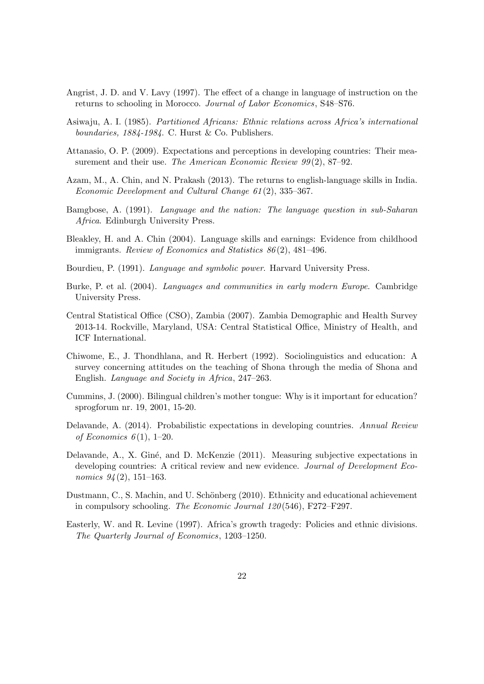- Angrist, J. D. and V. Lavy  $(1997)$ . The effect of a change in language of instruction on the returns to schooling in Morocco. *Journal of Labor Economics*, S48–S76.
- Asiwaju, A. I. (1985). *Partitioned Africans: Ethnic relations across Africa's international boundaries, 1884-1984*. C. Hurst & Co. Publishers.
- Attanasio, O. P. (2009). Expectations and perceptions in developing countries: Their measurement and their use. *The American Economic Review 99* (2), 87–92.
- Azam, M., A. Chin, and N. Prakash (2013). The returns to english-language skills in India. *Economic Development and Cultural Change 61* (2), 335–367.
- Bamgbose, A. (1991). *Language and the nation: The language question in sub-Saharan Africa*. Edinburgh University Press.
- Bleakley, H. and A. Chin (2004). Language skills and earnings: Evidence from childhood immigrants. *Review of Economics and Statistics 86* (2), 481–496.
- Bourdieu, P. (1991). *Language and symbolic power*. Harvard University Press.
- Burke, P. et al. (2004). *Languages and communities in early modern Europe*. Cambridge University Press.
- Central Statistical Office (CSO), Zambia (2007). Zambia Demographic and Health Survey 2013-14. Rockville, Maryland, USA: Central Statistical Office, Ministry of Health, and ICF International.
- Chiwome, E., J. Thondhlana, and R. Herbert (1992). Sociolinguistics and education: A survey concerning attitudes on the teaching of Shona through the media of Shona and English. *Language and Society in Africa*, 247–263.
- Cummins, J. (2000). Bilingual children's mother tongue: Why is it important for education? sprogforum nr. 19, 2001, 15-20.
- Delavande, A. (2014). Probabilistic expectations in developing countries. *Annual Review of Economics 6* (1), 1–20.
- Delavande, A., X. Giné, and D. McKenzie (2011). Measuring subjective expectations in developing countries: A critical review and new evidence. *Journal of Development Economics 94* (2), 151–163.
- Dustmann, C., S. Machin, and U. Schönberg (2010). Ethnicity and educational achievement in compulsory schooling. *The Economic Journal 120* (546), F272–F297.
- Easterly, W. and R. Levine (1997). Africa's growth tragedy: Policies and ethnic divisions. *The Quarterly Journal of Economics*, 1203–1250.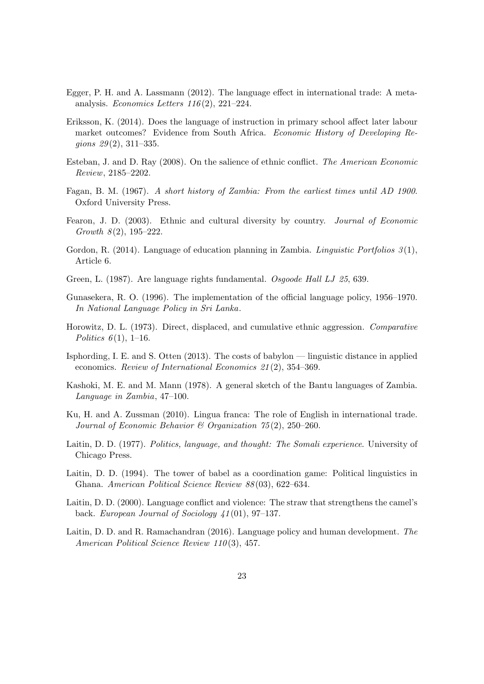- Egger, P. H. and A. Lassmann  $(2012)$ . The language effect in international trade: A metaanalysis. *Economics Letters 116* (2), 221–224.
- Eriksson, K. (2014). Does the language of instruction in primary school affect later labour market outcomes? Evidence from South Africa. *Economic History of Developing Regions 29* (2), 311–335.
- Esteban, J. and D. Ray (2008). On the salience of ethnic conflict. *The American Economic Review*, 2185–2202.
- Fagan, B. M. (1967). *A short history of Zambia: From the earliest times until AD 1900*. Oxford University Press.
- Fearon, J. D. (2003). Ethnic and cultural diversity by country. *Journal of Economic Growth 8* (2), 195–222.
- Gordon, R. (2014). Language of education planning in Zambia. *Linguistic Portfolios 3* (1), Article 6.
- Green, L. (1987). Are language rights fundamental. *Osgoode Hall LJ 25*, 639.
- Gunasekera, R. O. (1996). The implementation of the official language policy, 1956–1970. *In National Language Policy in Sri Lanka*.
- Horowitz, D. L. (1973). Direct, displaced, and cumulative ethnic aggression. *Comparative Politics 6*(1), 1–16.
- Isphording, I. E. and S. Otten (2013). The costs of babylon linguistic distance in applied economics. *Review of International Economics 21* (2), 354–369.
- Kashoki, M. E. and M. Mann (1978). A general sketch of the Bantu languages of Zambia. *Language in Zambia*, 47–100.
- Ku, H. and A. Zussman (2010). Lingua franca: The role of English in international trade. *Journal of Economic Behavior & Organization 75* (2), 250–260.
- Laitin, D. D. (1977). *Politics, language, and thought: The Somali experience*. University of Chicago Press.
- Laitin, D. D. (1994). The tower of babel as a coordination game: Political linguistics in Ghana. *American Political Science Review 88* (03), 622–634.
- Laitin, D. D. (2000). Language conflict and violence: The straw that strengthens the camel's back. *European Journal of Sociology 41* (01), 97–137.
- Laitin, D. D. and R. Ramachandran (2016). Language policy and human development. *The American Political Science Review 110* (3), 457.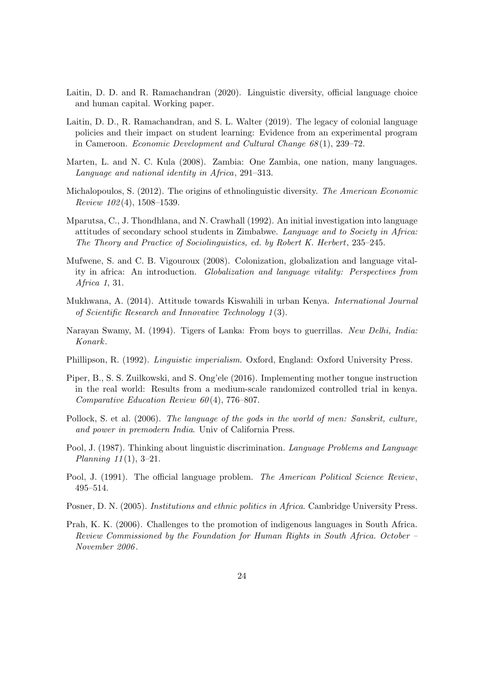- Laitin, D. D. and R. Ramachandran (2020). Linguistic diversity, official language choice and human capital. Working paper.
- Laitin, D. D., R. Ramachandran, and S. L. Walter (2019). The legacy of colonial language policies and their impact on student learning: Evidence from an experimental program in Cameroon. *Economic Development and Cultural Change 68* (1), 239–72.
- Marten, L. and N. C. Kula (2008). Zambia: One Zambia, one nation, many languages. *Language and national identity in Africa*, 291–313.
- Michalopoulos, S. (2012). The origins of ethnolinguistic diversity. *The American Economic Review 102* (4), 1508–1539.
- Mparutsa, C., J. Thondhlana, and N. Crawhall (1992). An initial investigation into language attitudes of secondary school students in Zimbabwe. *Language and to Society in Africa: The Theory and Practice of Sociolinguistics, ed. by Robert K. Herbert*, 235–245.
- Mufwene, S. and C. B. Vigouroux (2008). Colonization, globalization and language vitality in africa: An introduction. *Globalization and language vitality: Perspectives from Africa 1*, 31.
- Mukhwana, A. (2014). Attitude towards Kiswahili in urban Kenya. *International Journal of Scientific Research and Innovative Technology 1* (3).
- Narayan Swamy, M. (1994). Tigers of Lanka: From boys to guerrillas. *New Delhi, India: Konark*.
- Phillipson, R. (1992). *Linguistic imperialism*. Oxford, England: Oxford University Press.
- Piper, B., S. S. Zuilkowski, and S. Ong'ele (2016). Implementing mother tongue instruction in the real world: Results from a medium-scale randomized controlled trial in kenya. *Comparative Education Review 60* (4), 776–807.
- Pollock, S. et al. (2006). *The language of the gods in the world of men: Sanskrit, culture, and power in premodern India*. Univ of California Press.
- Pool, J. (1987). Thinking about linguistic discrimination. *Language Problems and Language Planning 11* (1), 3–21.
- Pool, J. (1991). The official language problem. *The American Political Science Review*, 495–514.
- Posner, D. N. (2005). *Institutions and ethnic politics in Africa*. Cambridge University Press.
- Prah, K. K. (2006). Challenges to the promotion of indigenous languages in South Africa. *Review Commissioned by the Foundation for Human Rights in South Africa. October – November 2006* .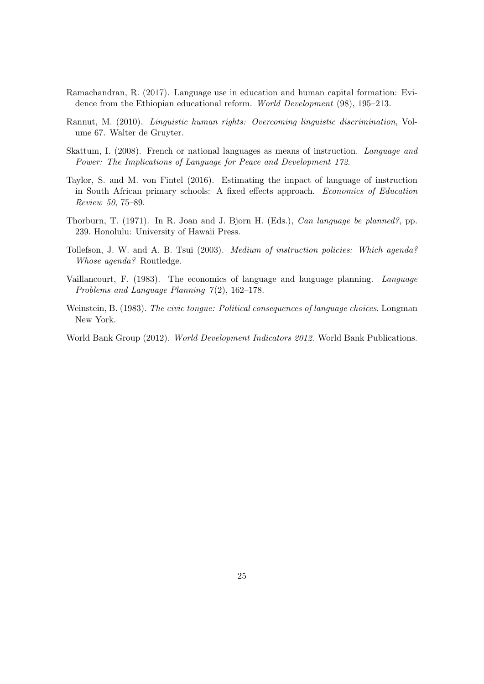- Ramachandran, R. (2017). Language use in education and human capital formation: Evidence from the Ethiopian educational reform. *World Development* (98), 195–213.
- Rannut, M. (2010). *Linguistic human rights: Overcoming linguistic discrimination*, Volume 67. Walter de Gruyter.
- Skattum, I. (2008). French or national languages as means of instruction. *Language and Power: The Implications of Language for Peace and Development 172*.
- Taylor, S. and M. von Fintel (2016). Estimating the impact of language of instruction in South African primary schools: A fixed effects approach. *Economics of Education Review 50*, 75–89.
- Thorburn, T. (1971). In R. Joan and J. Bjorn H. (Eds.), *Can language be planned?*, pp. 239. Honolulu: University of Hawaii Press.
- Tollefson, J. W. and A. B. Tsui (2003). *Medium of instruction policies: Which agenda? Whose agenda?* Routledge.
- Vaillancourt, F. (1983). The economics of language and language planning. *Language Problems and Language Planning 7* (2), 162–178.
- Weinstein, B. (1983). *The civic tongue: Political consequences of language choices*. Longman New York.
- World Bank Group (2012). *World Development Indicators 2012*. World Bank Publications.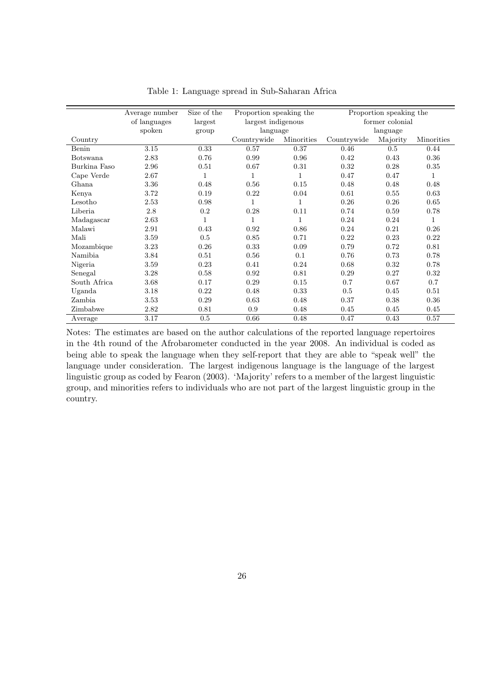|                 | Average number | Size of the | Proportion speaking the<br>Proportion speaking the |              |             |                 |              |  |
|-----------------|----------------|-------------|----------------------------------------------------|--------------|-------------|-----------------|--------------|--|
|                 | of languages   | largest     | largest indigenous                                 |              |             | former colonial |              |  |
|                 | spoken         | group       | language                                           |              |             | language        |              |  |
| Country         |                |             | Countrywide                                        | Minorities   | Countrywide | Majority        | Minorities   |  |
| Benin           | 3.15           | 0.33        | 0.57                                               | 0.37         | 0.46        | 0.5             | 0.44         |  |
| <b>Botswana</b> | 2.83           | 0.76        | 0.99                                               | 0.96         | 0.42        | 0.43            | 0.36         |  |
| Burkina Faso    | 2.96           | 0.51        | 0.67                                               | 0.31         | 0.32        | 0.28            | 0.35         |  |
| Cape Verde      | 2.67           | 1           | $\mathbf{1}$                                       | 1            | 0.47        | 0.47            | 1            |  |
| Ghana           | 3.36           | 0.48        | 0.56                                               | 0.15         | 0.48        | 0.48            | 0.48         |  |
| Kenya           | 3.72           | 0.19        | 0.22                                               | 0.04         | 0.61        | 0.55            | 0.63         |  |
| Lesotho         | 2.53           | 0.98        | 1                                                  | 1            | 0.26        | 0.26            | 0.65         |  |
| Liberia         | 2.8            | 0.2         | 0.28                                               | 0.11         | 0.74        | 0.59            | 0.78         |  |
| Madagascar      | 2.63           | $\mathbf 1$ | $\mathbf{1}$                                       | $\mathbf{1}$ | 0.24        | 0.24            | $\mathbf{1}$ |  |
| Malawi          | 2.91           | 0.43        | 0.92                                               | 0.86         | 0.24        | 0.21            | 0.26         |  |
| Mali            | 3.59           | 0.5         | 0.85                                               | 0.71         | 0.22        | 0.23            | 0.22         |  |
| Mozambique      | 3.23           | 0.26        | 0.33                                               | 0.09         | 0.79        | 0.72            | 0.81         |  |
| Namibia         | 3.84           | 0.51        | 0.56                                               | 0.1          | 0.76        | 0.73            | 0.78         |  |
| Nigeria         | 3.59           | 0.23        | 0.41                                               | 0.24         | 0.68        | 0.32            | 0.78         |  |
| Senegal         | 3.28           | 0.58        | 0.92                                               | 0.81         | 0.29        | 0.27            | 0.32         |  |
| South Africa    | 3.68           | 0.17        | 0.29                                               | 0.15         | 0.7         | 0.67            | 0.7          |  |
| Uganda          | 3.18           | 0.22        | 0.48                                               | 0.33         | 0.5         | 0.45            | 0.51         |  |
| Zambia          | 3.53           | 0.29        | 0.63                                               | 0.48         | 0.37        | 0.38            | 0.36         |  |
| Zimbabwe        | 2.82           | 0.81        | 0.9                                                | 0.48         | 0.45        | 0.45            | 0.45         |  |
| Average         | 3.17           | 0.5         | 0.66                                               | 0.48         | 0.47        | 0.43            | 0.57         |  |

Table 1: Language spread in Sub-Saharan Africa

Notes: The estimates are based on the author calculations of the reported language repertoires in the 4th round of the Afrobarometer conducted in the year 2008. An individual is coded as being able to speak the language when they self-report that they are able to "speak well" the language under consideration. The largest indigenous language is the language of the largest linguistic group as coded by Fearon (2003). 'Majority' refers to a member of the largest linguistic group, and minorities refers to individuals who are not part of the largest linguistic group in the country.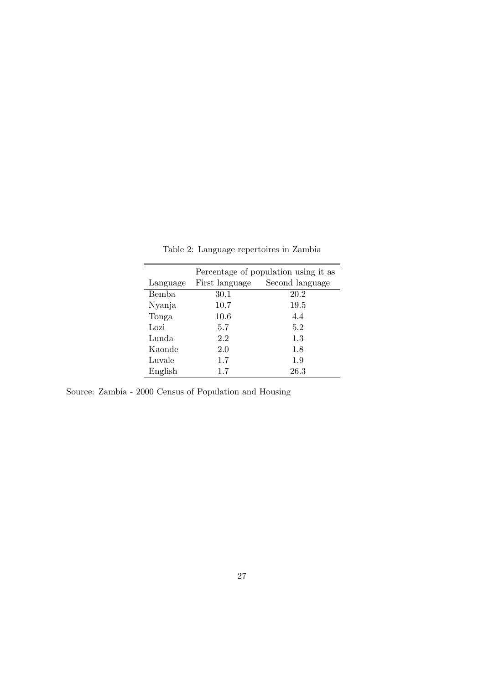|          |                | Percentage of population using it as |
|----------|----------------|--------------------------------------|
| Language | First language | Second language                      |
| Bemba    | 30.1           | 20.2                                 |
| Nyanja   | 10.7           | 19.5                                 |
| Tonga    | 10.6           | 4.4                                  |
| Lozi     | 5.7            | 5.2                                  |
| Lunda    | 2.2            | 1.3                                  |
| Kaonde   | 2.0            | 1.8                                  |
| Luvale   | 1.7            | 1.9                                  |
| English  | 1.7            | 26.3                                 |

Table 2: Language repertoires in Zambia

Source: Zambia - 2000 Census of Population and Housing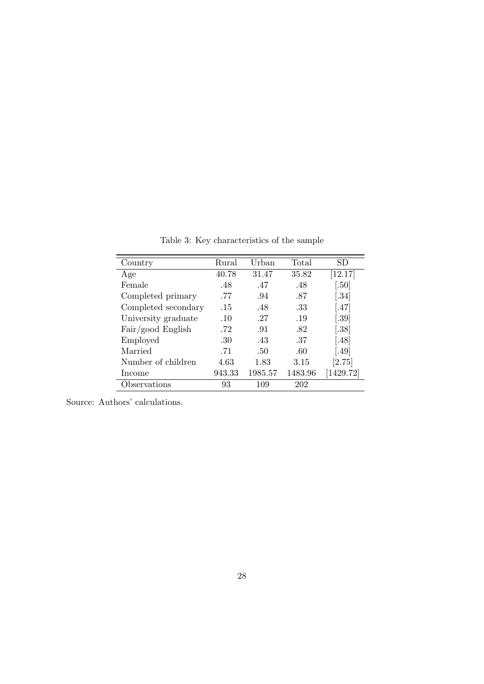| Country             | Rural  | Urban   | Total   | SD               |
|---------------------|--------|---------|---------|------------------|
| Age                 | 40.78  | 31.47   | 35.82   | [12.17]          |
| Female              | .48    | .47     | .48     | .50 <sub>l</sub> |
| Completed primary   | .77    | .94     | .87     | .34]             |
| Completed secondary | .15    | .48     | .33     | [.47]            |
| University graduate | .10    | .27     | .19     | [.39]            |
| Fair/good English   | .72    | .91     | .82     | [.38]            |
| Employed            | .30    | .43     | .37     | [.48]            |
| Married             | .71    | -50     | .60     | .49              |
| Number of children  | 4.63   | 1.83    | 3.15    | [2.75]           |
| Income              | 943.33 | 1985.57 | 1483.96 | [1429.72]        |
| bservations         | 93     | 109     | 202     |                  |

Table 3: Key characteristics of the sample

Source: Authors' calculations.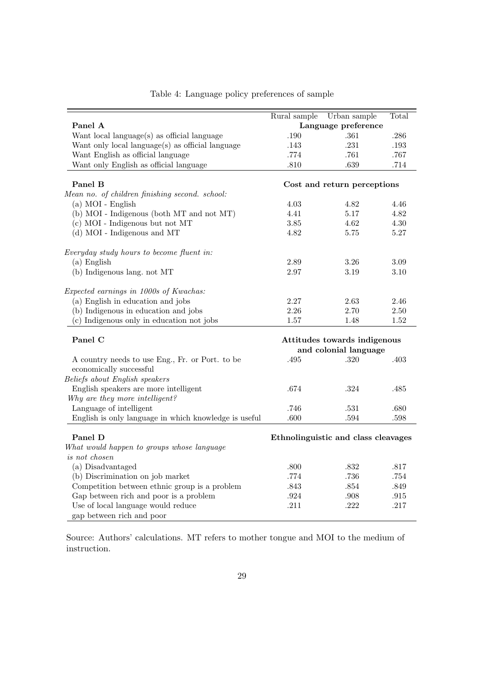|                                                       | Rural sample | Urban sample                        | Total    |
|-------------------------------------------------------|--------------|-------------------------------------|----------|
| Panel A                                               |              | Language preference                 |          |
| Want local language(s) as official language           | .190         | .361                                | .286     |
| Want only local language(s) as official language      | .143         | .231                                | .193     |
| Want English as official language                     | .774         | .761                                | .767     |
| Want only English as official language                | $.810\,$     | .639                                | .714     |
| Panel B                                               |              | Cost and return perceptions         |          |
| Mean no. of children finishing second. school:        |              |                                     |          |
| (a) MOI - English                                     | 4.03         | 4.82                                | 4.46     |
| (b) MOI - Indigenous (both MT and not MT)             | 4.41         | 5.17                                | 4.82     |
| (c) MOI - Indigenous but not MT                       | 3.85         | 4.62                                | $4.30\,$ |
| (d) MOI - Indigenous and MT                           | 4.82         | 5.75                                | 5.27     |
|                                                       |              |                                     |          |
| Everyday study hours to become fluent in:             |              |                                     |          |
| $(a)$ English                                         | 2.89         | 3.26                                | 3.09     |
| (b) Indigenous lang. not MT                           | 2.97         | 3.19                                | $3.10\,$ |
| Expected earnings in 1000s of Kwachas:                |              |                                     |          |
| (a) English in education and jobs                     | 2.27         | 2.63                                | 2.46     |
| (b) Indigenous in education and jobs                  | $2.26\,$     | 2.70                                | 2.50     |
| (c) Indigenous only in education not jobs             | 1.57         | 1.48                                | 1.52     |
|                                                       |              |                                     |          |
| Panel C                                               |              | Attitudes towards indigenous        |          |
|                                                       |              | and colonial language               |          |
| A country needs to use Eng., Fr. or Port. to be       | .495         | .320                                | .403     |
| economically successful                               |              |                                     |          |
| Beliefs about English speakers                        |              |                                     |          |
| English speakers are more intelligent                 | .674         | .324                                | .485     |
| Why are they more intelligent?                        |              |                                     |          |
| Language of intelligent                               | .746         | .531                                | .680     |
| English is only language in which knowledge is useful | .600         | .594                                | .598     |
| Panel D                                               |              | Ethnolinguistic and class cleavages |          |
| What would happen to groups whose language            |              |                                     |          |
| is not chosen                                         |              |                                     |          |
| (a) Disadvantaged                                     | .800         | .832                                | .817     |
| (b) Discrimination on job market                      | .774         | .736                                | .754     |
| Competition between ethnic group is a problem         | .843         | .854                                | .849     |
| Gap between rich and poor is a problem                | .924         | .908                                | .915     |
| Use of local language would reduce                    | .211         | .222                                | .217     |
| gap between rich and poor                             |              |                                     |          |
|                                                       |              |                                     |          |

#### Table 4: Language policy preferences of sample

Source: Authors' calculations. MT refers to mother tongue and MOI to the medium of instruction.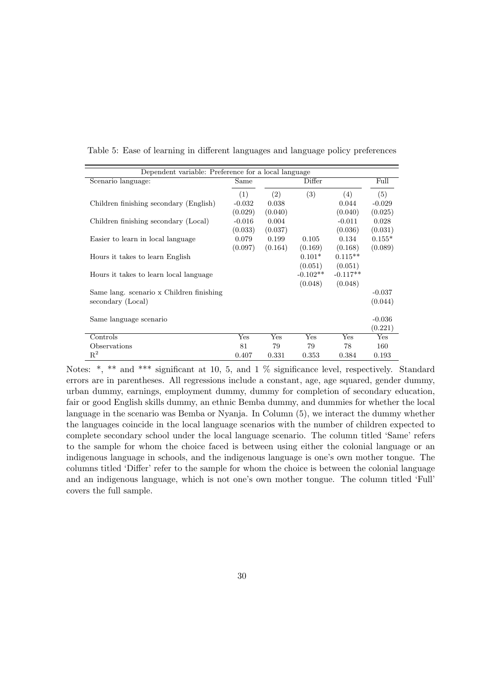| Dependent variable: Preference for a local language |          |         |            |            |          |  |
|-----------------------------------------------------|----------|---------|------------|------------|----------|--|
| Scenario language:                                  | Same     |         | Differ     |            | Full     |  |
|                                                     | (1)      | (2)     | (3)        | (4)        | (5)      |  |
| Children finishing secondary (English)              | $-0.032$ | 0.038   |            | 0.044      | $-0.029$ |  |
|                                                     | (0.029)  | (0.040) |            | (0.040)    | (0.025)  |  |
| Children finishing secondary (Local)                | $-0.016$ | 0.004   |            | $-0.011$   | 0.028    |  |
|                                                     | (0.033)  | (0.037) |            | (0.036)    | (0.031)  |  |
| Easier to learn in local language                   | 0.079    | 0.199   | 0.105      | 0.134      | $0.155*$ |  |
|                                                     | (0.097)  | (0.164) | (0.169)    | (0.168)    | (0.089)  |  |
| Hours it takes to learn English                     |          |         | $0.101*$   | $0.115**$  |          |  |
|                                                     |          |         | (0.051)    | (0.051)    |          |  |
| Hours it takes to learn local language              |          |         | $-0.102**$ | $-0.117**$ |          |  |
|                                                     |          |         | (0.048)    | (0.048)    |          |  |
| Same lang. scenario x Children finishing            |          |         |            |            | $-0.037$ |  |
| secondary (Local)                                   |          |         |            |            | (0.044)  |  |
|                                                     |          |         |            |            |          |  |
| Same language scenario                              |          |         |            |            | $-0.036$ |  |
|                                                     |          |         |            |            | (0.221)  |  |
| Controls                                            | Yes      | Yes     | Yes        | Yes        | Yes      |  |
| Observations                                        | 81       | 79      | 79         | 78         | 160      |  |
| $\mathrm{R}^2$                                      | 0.407    | 0.331   | 0.353      | 0.384      | 0.193    |  |

Table 5: Ease of learning in different languages and language policy preferences

Notes: \*, \*\* and \*\*\* significant at 10, 5, and 1 % significance level, respectively. Standard errors are in parentheses. All regressions include a constant, age, age squared, gender dummy, urban dummy, earnings, employment dummy, dummy for completion of secondary education, fair or good English skills dummy, an ethnic Bemba dummy, and dummies for whether the local language in the scenario was Bemba or Nyanja. In Column (5), we interact the dummy whether the languages coincide in the local language scenarios with the number of children expected to complete secondary school under the local language scenario. The column titled 'Same' refers to the sample for whom the choice faced is between using either the colonial language or an indigenous language in schools, and the indigenous language is one's own mother tongue. The columns titled 'Differ' refer to the sample for whom the choice is between the colonial language and an indigenous language, which is not one's own mother tongue. The column titled 'Full' covers the full sample.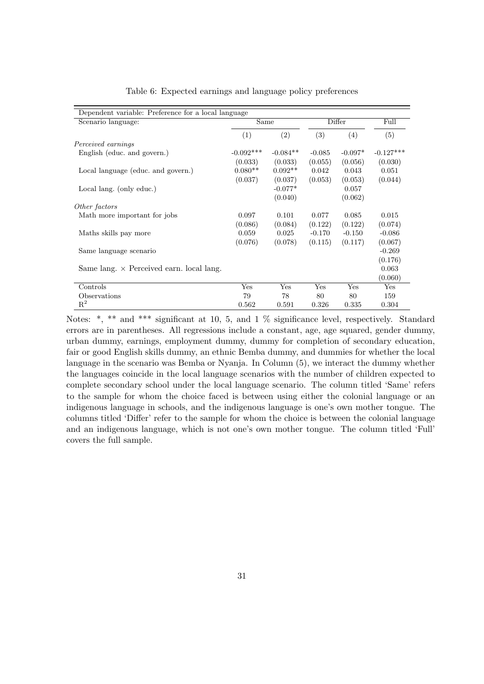| Dependent variable: Preference for a local language |             |            |          |           |             |
|-----------------------------------------------------|-------------|------------|----------|-----------|-------------|
| Scenario language:                                  | Same        |            |          | Differ    | Full        |
|                                                     | (1)         | (2)        | (3)      | (4)       | (5)         |
| Perceived earnings                                  |             |            |          |           |             |
| English (educ. and govern.)                         | $-0.092***$ | $-0.084**$ | $-0.085$ | $-0.097*$ | $-0.127***$ |
|                                                     | (0.033)     | (0.033)    | (0.055)  | (0.056)   | (0.030)     |
| Local language (educ. and govern.)                  | $0.080**$   | $0.092**$  | 0.042    | 0.043     | 0.051       |
|                                                     | (0.037)     | (0.037)    | (0.053)  | (0.053)   | (0.044)     |
| Local lang. (only educ.)                            |             | $-0.077*$  |          | 0.057     |             |
|                                                     |             | (0.040)    |          | (0.062)   |             |
| Other factors                                       |             |            |          |           |             |
| Math more important for jobs                        | 0.097       | 0.101      | 0.077    | 0.085     | 0.015       |
|                                                     | (0.086)     | (0.084)    | (0.122)  | (0.122)   | (0.074)     |
| Maths skills pay more                               | 0.059       | 0.025      | $-0.170$ | $-0.150$  | $-0.086$    |
|                                                     | (0.076)     | (0.078)    | (0.115)  | (0.117)   | (0.067)     |
| Same language scenario                              |             |            |          |           | $-0.269$    |
|                                                     |             |            |          |           | (0.176)     |
| Same lang. $\times$ Perceived earn. local lang.     |             |            |          |           | 0.063       |
|                                                     |             |            |          |           | (0.060)     |
| Controls                                            | Yes         | Yes        | Yes      | Yes       | Yes         |
| Observations                                        | 79          | 78         | 80       | 80        | 159         |
| $R^2$                                               | 0.562       | 0.591      | 0.326    | 0.335     | 0.304       |

Table 6: Expected earnings and language policy preferences

Notes: \*, \*\* and \*\*\* significant at 10, 5, and 1 % significance level, respectively. Standard errors are in parentheses. All regressions include a constant, age, age squared, gender dummy, urban dummy, earnings, employment dummy, dummy for completion of secondary education, fair or good English skills dummy, an ethnic Bemba dummy, and dummies for whether the local language in the scenario was Bemba or Nyanja. In Column (5), we interact the dummy whether the languages coincide in the local language scenarios with the number of children expected to complete secondary school under the local language scenario. The column titled 'Same' refers to the sample for whom the choice faced is between using either the colonial language or an indigenous language in schools, and the indigenous language is one's own mother tongue. The columns titled 'Differ' refer to the sample for whom the choice is between the colonial language and an indigenous language, which is not one's own mother tongue. The column titled 'Full' covers the full sample.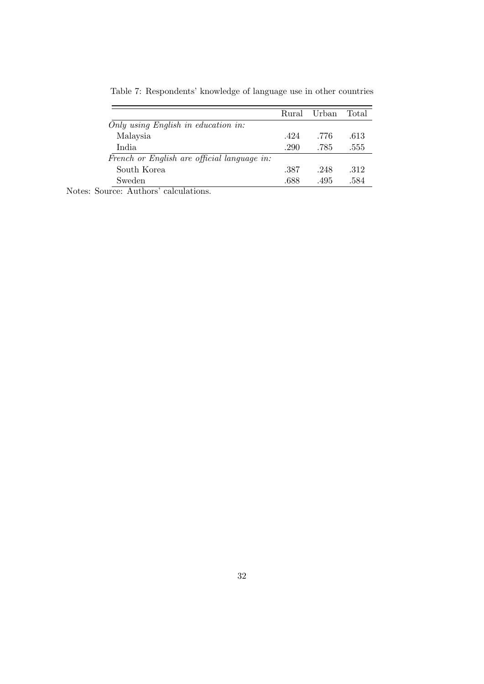| Rural |      | Total |
|-------|------|-------|
|       |      |       |
| .424  | .776 | .613  |
| .290  | .785 | .555  |
|       |      |       |
| .387  | .248 | .312  |
| .688  | .495 | .584  |
|       |      | Urban |

Table 7: Respondents' knowledge of language use in other countries

Notes: Source: Authors' calculations.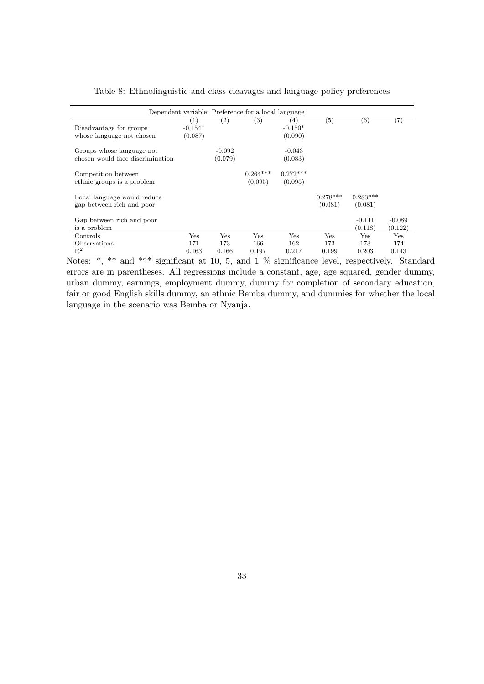|                                                               |                                           |                     | Dependent variable: Preference for a local language |                             |                       |                       |                       |
|---------------------------------------------------------------|-------------------------------------------|---------------------|-----------------------------------------------------|-----------------------------|-----------------------|-----------------------|-----------------------|
| Disadvantage for groups<br>whose language not chosen          | $\left( 1\right)$<br>$-0.154*$<br>(0.087) | (2)                 | (3)                                                 | (4)<br>$-0.150*$<br>(0.090) | $\left( 5\right)$     | (6)                   | $^{\left( 7\right) }$ |
| Groups whose language not<br>chosen would face discrimination |                                           | $-0.092$<br>(0.079) |                                                     | $-0.043$<br>(0.083)         |                       |                       |                       |
| Competition between<br>ethnic groups is a problem             |                                           |                     | $0.264***$<br>(0.095)                               | $0.272***$<br>(0.095)       |                       |                       |                       |
| Local language would reduce<br>gap between rich and poor      |                                           |                     |                                                     |                             | $0.278***$<br>(0.081) | $0.283***$<br>(0.081) |                       |
| Gap between rich and poor<br>is a problem                     |                                           |                     |                                                     |                             |                       | $-0.111$<br>(0.118)   | $-0.089$<br>(0.122)   |
| Controls                                                      | Yes                                       | Yes                 | Yes                                                 | Yes                         | Yes                   | Yes                   | Yes                   |
| Observations                                                  | 171                                       | 173                 | 166                                                 | 162                         | 173                   | 173                   | 174                   |
| $R^2$                                                         | 0.163                                     | 0.166               | 0.197                                               | 0.217                       | 0.199                 | 0.203                 | 0.143                 |

Table 8: Ethnolinguistic and class cleavages and language policy preferences

Notes: \*, \*\* and \*\*\* significant at 10, 5, and 1 % significance level, respectively. Standard errors are in parentheses. All regressions include a constant, age, age squared, gender dummy, urban dummy, earnings, employment dummy, dummy for completion of secondary education, fair or good English skills dummy, an ethnic Bemba dummy, and dummies for whether the local language in the scenario was Bemba or Nyanja.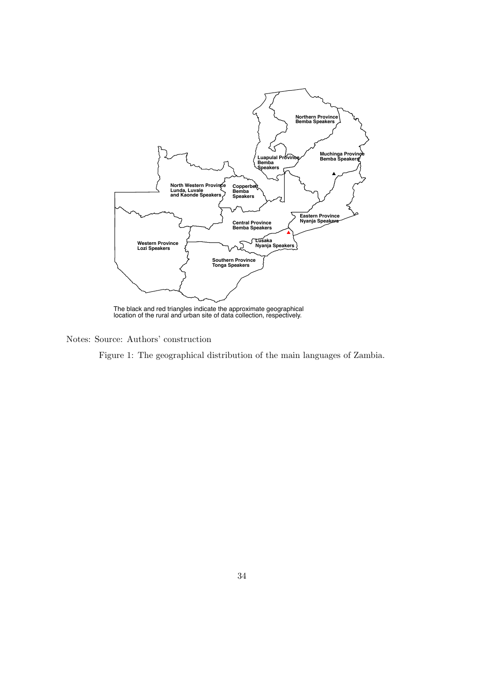

The black and red triangles indicate the approximate geographical location of the rural and urban site of data collection, respectively.

Notes: Source: Authors' construction

Figure 1: The geographical distribution of the main languages of Zambia.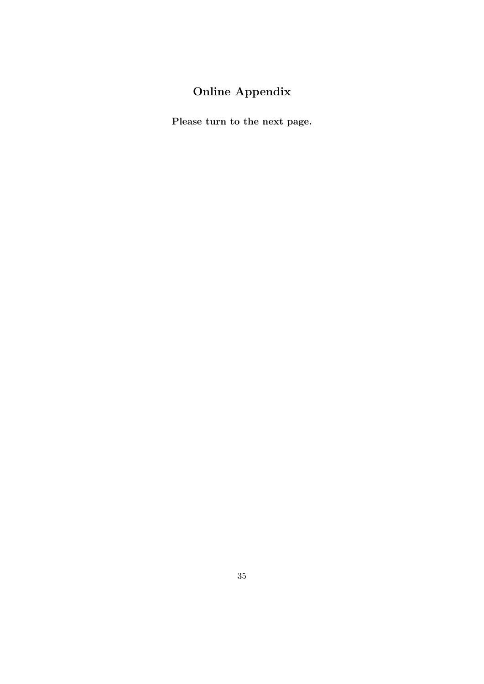### Online Appendix

Please turn to the next page.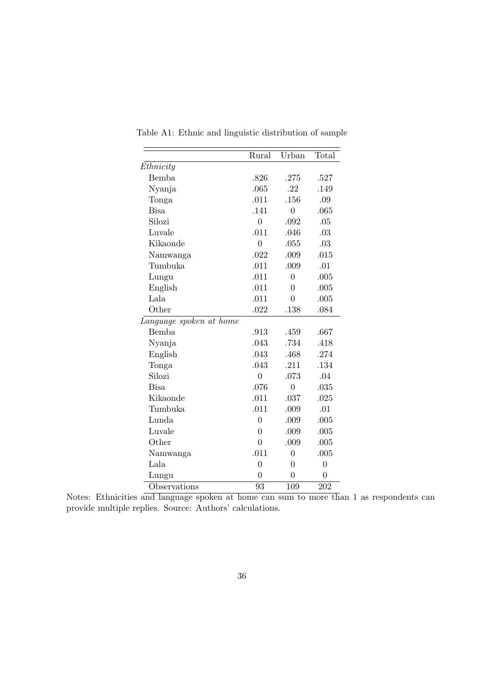|                         | Rural            | Urban            | Total            |
|-------------------------|------------------|------------------|------------------|
| Ethnicity               |                  |                  |                  |
| Bemba                   | .826             | .275             | .527             |
| Nyanja                  | .065             | .22              | .149             |
| Tonga                   | .011             | .156             | .09              |
| <b>Bisa</b>             | .141             | $\overline{0}$   | .065             |
| Silozi                  | $\overline{0}$   | .092             | .05              |
| Luvale                  | .011             | .046             | .03              |
| Kikaonde                | $\overline{0}$   | .055             | .03              |
| Namwanga                | .022             | .009             | .015             |
| Tumbuka                 | .011             | .009             | .01              |
| Lungu                   | .011             | $\overline{0}$   | .005             |
| English                 | .011             | $\overline{0}$   | .005             |
| Lala                    | .011             | $\overline{0}$   | .005             |
| Other                   | .022             | .138             | .084             |
| Language spoken at home |                  |                  |                  |
| Bemba                   | .913             | .459             | .667             |
| Nyanja                  | .043             | .734             | .418             |
| English                 | .043             | .468             | .274             |
| Tonga                   | .043             | .211             | .134             |
| Silozi                  | $\overline{0}$   | .073             | .04              |
| <b>Bisa</b>             | .076             | $\overline{0}$   | .035             |
| Kikaonde                | .011             | .037             | .025             |
| Tumbuka                 | .011             | .009             | .01              |
| Lunda                   | $\overline{0}$   | .009             | .005             |
| Luvale                  | $\overline{0}$   | .009             | .005             |
| Other                   | $\overline{0}$   | .009             | .005             |
| Namwanga                | .011             | $\boldsymbol{0}$ | .005             |
| Lala                    | $\boldsymbol{0}$ | $\overline{0}$   | $\boldsymbol{0}$ |
| Lungu                   | 0                | $\theta$         | $\overline{0}$   |
| Observations            | 93               | 109              | 202              |

Table A1: Ethnic and linguistic distribution of sample

l,

Notes: Ethnicities and language spoken at home can sum to more than 1 as respondents can provide multiple replies. Source: Authors' calculations.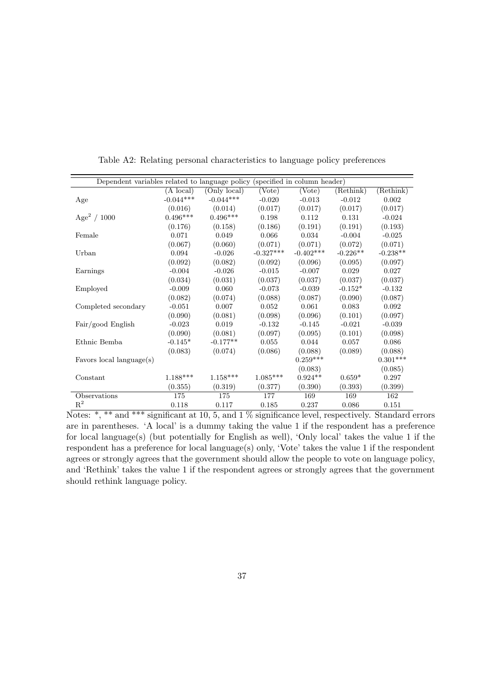| Dependent variables related to language policy |                     |              |             | (specified in column header) |            |            |
|------------------------------------------------|---------------------|--------------|-------------|------------------------------|------------|------------|
|                                                | $(A \text{ local})$ | (Only local) | (Vote)      | (Vote)                       | (Rethink)  | (Rethink)  |
| Age                                            | $-0.044***$         | $-0.044***$  | $-0.020$    | $-0.013$                     | $-0.012$   | 0.002      |
|                                                | (0.016)             | (0.014)      | (0.017)     | (0.017)                      | (0.017)    | (0.017)    |
| Age <sup>2</sup> / $1000$                      | $0.496***$          | $0.496***$   | 0.198       | 0.112                        | 0.131      | $-0.024$   |
|                                                | (0.176)             | (0.158)      | (0.186)     | (0.191)                      | (0.191)    | (0.193)    |
| Female                                         | 0.071               | 0.049        | 0.066       | 0.034                        | $-0.004$   | $-0.025$   |
|                                                | (0.067)             | (0.060)      | (0.071)     | (0.071)                      | (0.072)    | (0.071)    |
| Urban                                          | 0.094               | $-0.026$     | $-0.327***$ | $-0.402***$                  | $-0.226**$ | $-0.238**$ |
|                                                | (0.092)             | (0.082)      | (0.092)     | (0.096)                      | (0.095)    | (0.097)    |
| Earnings                                       | $-0.004$            | $-0.026$     | $-0.015$    | $-0.007$                     | 0.029      | 0.027      |
|                                                | (0.034)             | (0.031)      | (0.037)     | (0.037)                      | (0.037)    | (0.037)    |
| Employed                                       | $-0.009$            | 0.060        | $-0.073$    | $-0.039$                     | $-0.152*$  | $-0.132$   |
|                                                | (0.082)             | (0.074)      | (0.088)     | (0.087)                      | (0.090)    | (0.087)    |
| Completed secondary                            | $-0.051$            | 0.007        | 0.052       | 0.061                        | 0.083      | 0.092      |
|                                                | (0.090)             | (0.081)      | (0.098)     | (0.096)                      | (0.101)    | (0.097)    |
| Fair/good English                              | $-0.023$            | 0.019        | $-0.132$    | $-0.145$                     | $-0.021$   | $-0.039$   |
|                                                | (0.090)             | (0.081)      | (0.097)     | (0.095)                      | (0.101)    | (0.098)    |
| Ethnic Bemba                                   | $-0.145*$           | $-0.177**$   | 0.055       | 0.044                        | 0.057      | 0.086      |
|                                                | (0.083)             | (0.074)      | (0.086)     | (0.088)                      | (0.089)    | (0.088)    |
| Favors local language(s)                       |                     |              |             | $0.259***$                   |            | $0.301***$ |
|                                                |                     |              |             | (0.083)                      |            | (0.085)    |
| Constant                                       | $1.188***$          | $1.158***$   | $1.085***$  | $0.924**$                    | $0.659*$   | 0.297      |
|                                                | (0.355)             | (0.319)      | (0.377)     | (0.390)                      | (0.393)    | (0.399)    |
| Observations                                   | 175                 | 175          | 177         | 169                          | 169        | 162        |
| $R^2$                                          | 0.118               | 0.117        | 0.185       | 0.237                        | 0.086      | 0.151      |

Table A2: Relating personal characteristics to language policy preferences

Notes: \*, \*\* and \*\*\* significant at 10, 5, and 1 % significance level, respectively. Standard errors are in parentheses. 'A local' is a dummy taking the value 1 if the respondent has a preference for local language(s) (but potentially for English as well), 'Only local' takes the value 1 if the respondent has a preference for local language(s) only, 'Vote' takes the value 1 if the respondent agrees or strongly agrees that the government should allow the people to vote on language policy, and 'Rethink' takes the value 1 if the respondent agrees or strongly agrees that the government should rethink language policy.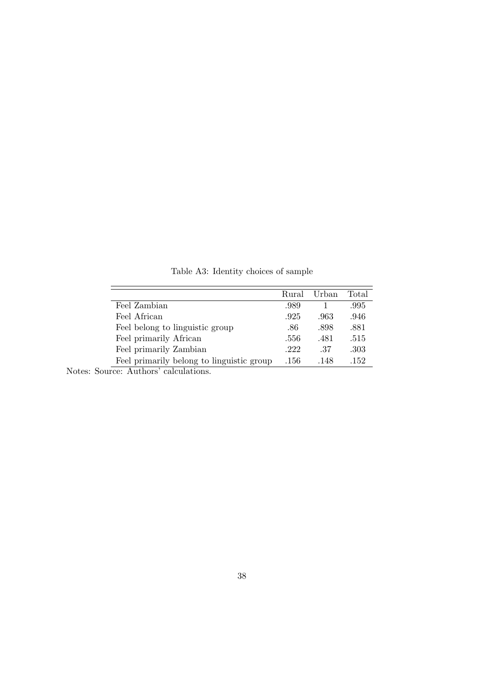|                                           | Rural | Urban | Total |
|-------------------------------------------|-------|-------|-------|
| Feel Zambian                              | .989  |       | .995  |
| Feel African                              | .925  | .963  | .946  |
| Feel belong to linguistic group           | .86   | .898  | .881  |
| Feel primarily African                    | .556  | .481  | .515  |
| Feel primarily Zambian                    | .222  | .37   | .303  |
| Feel primarily belong to linguistic group | .156  | .148  | .152  |

Table A3: Identity choices of sample

Notes: Source: Authors' calculations.